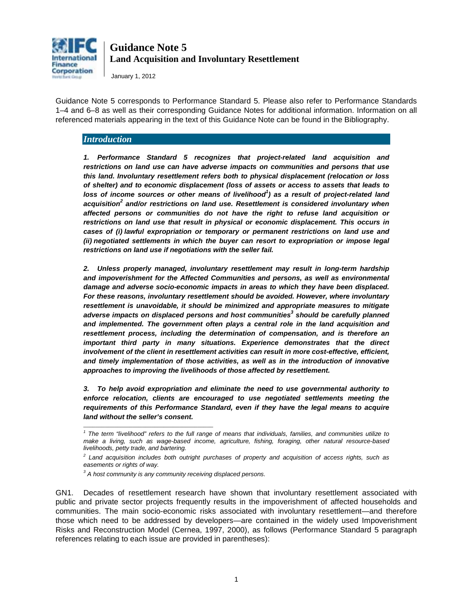

January 1, 2012

Guidance Note 5 corresponds to Performance Standard 5. Please also refer to Performance Standards 1–4 and 6–8 as well as their corresponding Guidance Notes for additional information. Information on all referenced materials appearing in the text of this Guidance Note can be found in the Bibliography.

### *Introduction*

*1. Performance Standard 5 recognizes that project-related land acquisition and restrictions on land use can have adverse impacts on communities and persons that use this land. Involuntary resettlement refers both to physical displacement (relocation or loss of shelter) and to economic displacement (loss of assets or access to assets that leads to loss of income sources or other means of livelihood<sup>1</sup> ) as a result of project-related land acquisition<sup>2</sup> and/or restrictions on land use. Resettlement is considered involuntary when affected persons or communities do not have the right to refuse land acquisition or restrictions on land use that result in physical or economic displacement. This occurs in cases of (i) lawful expropriation or temporary or permanent restrictions on land use and (ii) negotiated settlements in which the buyer can resort to expropriation or impose legal restrictions on land use if negotiations with the seller fail.* 

*2. Unless properly managed, involuntary resettlement may result in long-term hardship and impoverishment for the Affected Communities and persons, as well as environmental damage and adverse socio-economic impacts in areas to which they have been displaced. For these reasons, involuntary resettlement should be avoided. However, where involuntary resettlement is unavoidable, it should be minimized and appropriate measures to mitigate adverse impacts on displaced persons and host communities<sup>3</sup> should be carefully planned and implemented. The government often plays a central role in the land acquisition and resettlement process, including the determination of compensation, and is therefore an important third party in many situations. Experience demonstrates that the direct involvement of the client in resettlement activities can result in more cost-effective, efficient, and timely implementation of those activities, as well as in the introduction of innovative approaches to improving the livelihoods of those affected by resettlement.* 

*3. To help avoid expropriation and eliminate the need to use governmental authority to enforce relocation, clients are encouraged to use negotiated settlements meeting the requirements of this Performance Standard, even if they have the legal means to acquire land without the seller's consent.* 

\_\_\_\_\_\_\_\_\_\_\_\_\_\_\_\_\_\_\_\_\_\_\_\_\_\_\_\_\_\_\_\_\_\_\_\_\_\_\_\_\_\_

<span id="page-0-0"></span>GN1. Decades of resettlement research have shown that involuntary resettlement associated with public and private sector projects frequently results in the impoverishment of affected households and communities. The main socio-economic risks associated with involuntary resettlement—and therefore those which need to be addressed by developers—are contained in the widely used Impoverishment Risks and Reconstruction Model (Cernea, 1997, 2000), as follows (Performance Standard 5 paragraph references relating to each issue are provided in parentheses):

*<sup>1</sup> The term "livelihood" refers to the full range of means that individuals, families, and communities utilize to make a living, such as wage-based income, agriculture, fishing, foraging, other natural resource-based livelihoods, petty trade, and bartering.* 

*<sup>2</sup> Land acquisition includes both outright purchases of property and acquisition of access rights, such as easements or rights of way.* 

*<sup>3</sup> A host community is any community receiving displaced persons.*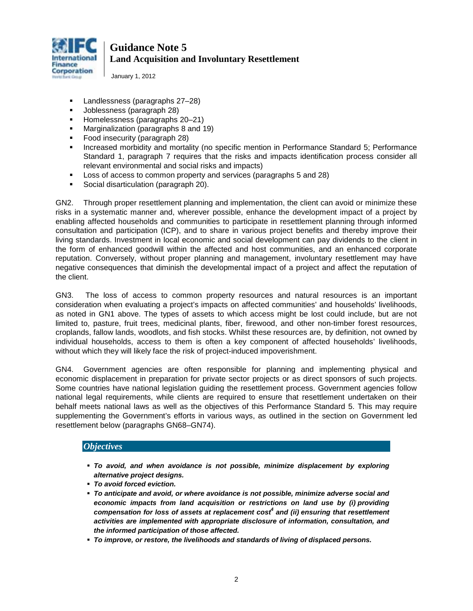

January 1, 2012

- Landlessness (paragraphs 27–28)
- Joblessness (paragraph 28)
- Homelessness (paragraphs 20–21)
- **Marginalization (paragraphs 8 and 19)**
- **Food insecurity (paragraph 28)**
- **Increased morbidity and mortality (no specific mention in Performance Standard 5; Performance** Standard 1, paragraph 7 requires that the risks and impacts identification process consider all relevant environmental and social risks and impacts)
- Loss of access to common property and services (paragraphs 5 and 28)
- **Social disarticulation (paragraph 20).**

GN2. Through proper resettlement planning and implementation, the client can avoid or minimize these risks in a systematic manner and, wherever possible, enhance the development impact of a project by enabling affected households and communities to participate in resettlement planning through informed consultation and participation (ICP), and to share in various project benefits and thereby improve their living standards. Investment in local economic and social development can pay dividends to the client in the form of enhanced goodwill within the affected and host communities, and an enhanced corporate reputation. Conversely, without proper planning and management, involuntary resettlement may have negative consequences that diminish the developmental impact of a project and affect the reputation of the client.

GN3. The loss of access to common property resources and natural resources is an important consideration when evaluating a project's impacts on affected communities' and households' livelihoods, as noted in GN1 above. The types of assets to which access might be lost could include, but are not limited to, pasture, fruit trees, medicinal plants, fiber, firewood, and other non-timber forest resources, croplands, fallow lands, woodlots, and fish stocks. Whilst these resources are, by definition, not owned by individual households, access to them is often a key component of affected households' livelihoods, without which they will likely face the risk of project-induced impoverishment.

GN4. Government agencies are often responsible for planning and implementing physical and economic displacement in preparation for private sector projects or as direct sponsors of such projects. Some countries have national legislation guiding the resettlement process. Government agencies follow national legal requirements, while clients are required to ensure that resettlement undertaken on their behalf meets national laws as well as the objectives of this Performance Standard 5. This may require supplementing the Government's efforts in various ways, as outlined in the section on Government led resettlement below (paragraphs [GN68–](#page-25-0)[GN74\)](#page-26-0).

### *Objectives*

- *To avoid, and when avoidance is not possible, minimize displacement by exploring alternative project designs.*
- *To avoid forced eviction.*
- *To anticipate and avoid, or where avoidance is not possible, minimize adverse social and economic impacts from land acquisition or restrictions on land use by (i) providing compensation for loss of assets at replacement cost4 and (ii) ensuring that resettlement activities are implemented with appropriate disclosure of information, consultation, and the informed participation of those affected.*
- *To improve, or restore, the livelihoods and standards of living of displaced persons.*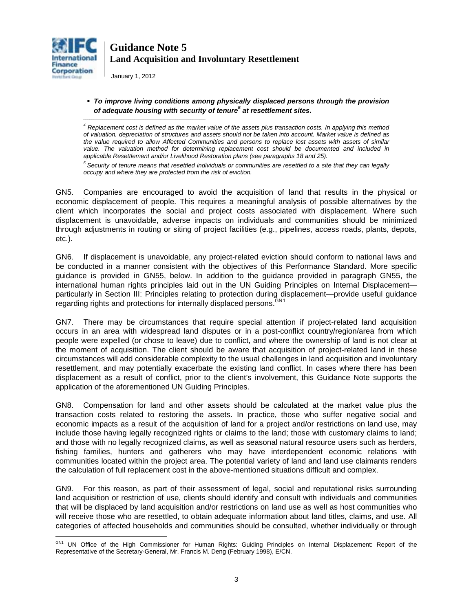

January 1, 2012

*\_\_\_\_\_\_\_\_\_\_\_\_\_\_\_\_\_\_\_\_\_\_\_\_\_\_\_\_\_\_\_\_\_\_\_\_\_\_\_\_\_\_\_\_\_\_\_\_\_\_\_\_\_\_\_\_\_*

#### *To improve living conditions among physically displaced persons through the provision of adequate housing with security of tenure<sup>5</sup> at resettlement sites.*

*<sup>4</sup> Replacement cost is defined as the market value of the assets plus transaction costs. In applying this method of valuation, depreciation of structures and assets should not be taken into account. Market value is defined as the value required to allow Affected Communities and persons to replace lost assets with assets of similar*  value. The valuation method for determining replacement cost should be documented and included in *applicable Resettlement and/or Livelihood Restoration plans (see paragraphs 18 and 25).* 

*5 Security of tenure means that resettled individuals or communities are resettled to a site that they can legally occupy and where they are protected from the risk of eviction.*

GN5. Companies are encouraged to avoid the acquisition of land that results in the physical or economic displacement of people. This requires a meaningful analysis of possible alternatives by the client which incorporates the social and project costs associated with displacement. Where such displacement is unavoidable, adverse impacts on individuals and communities should be minimized through adjustments in routing or siting of project facilities (e.g., pipelines, access roads, plants, depots, etc.).

GN6. If displacement is unavoidable, any project-related eviction should conform to national laws and be conducted in a manner consistent with the objectives of this Performance Standard. More specific guidance is provided in GN55, below. In addition to the guidance provided in paragraph GN55, the international human rights principles laid out in the UN Guiding Principles on Internal Displacement particularly in Section III: Principles relating to protection during displacement—provide useful guidance regarding rights and protections for internally displaced persons. CN[1](#page-0-0)

GN7. There may be circumstances that require special attention if project-related land acquisition occurs in an area with widespread land disputes or in a post-conflict country/region/area from which people were expelled (or chose to leave) due to conflict, and where the ownership of land is not clear at the moment of acquisition. The client should be aware that acquisition of project-related land in these circumstances will add considerable complexity to the usual challenges in land acquisition and involuntary resettlement, and may potentially exacerbate the existing land conflict. In cases where there has been displacement as a result of conflict, prior to the client's involvement, this Guidance Note supports the application of the aforementioned UN Guiding Principles.

GN8. Compensation for land and other assets should be calculated at the market value plus the transaction costs related to restoring the assets. In practice, those who suffer negative social and economic impacts as a result of the acquisition of land for a project and/or restrictions on land use, may include those having legally recognized rights or claims to the land; those with customary claims to land; and those with no legally recognized claims, as well as seasonal natural resource users such as herders, fishing families, hunters and gatherers who may have interdependent economic relations with communities located within the project area. The potential variety of land and land use claimants renders the calculation of full replacement cost in the above-mentioned situations difficult and complex.

<span id="page-2-0"></span>GN9. For this reason, as part of their assessment of legal, social and reputational risks surrounding land acquisition or restriction of use, clients should identify and consult with individuals and communities that will be displaced by land acquisition and/or restrictions on land use as well as host communities who will receive those who are resettled, to obtain adequate information about land titles, claims, and use. All categories of affected households and communities should be consulted, whether individually or through

 $\overline{a}$ GN1 UN Office of the High Commissioner for Human Rights: Guiding Principles on Internal Displacement: Report of the Representative of the Secretary-General, Mr. Francis M. Deng (February 1998), E/CN.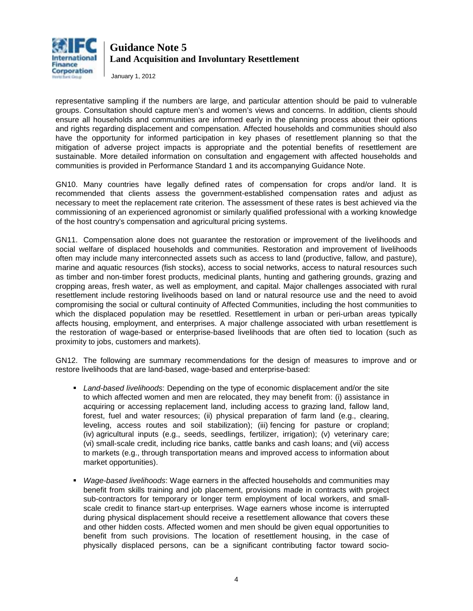

January 1, 2012

representative sampling if the numbers are large, and particular attention should be paid to vulnerable groups. Consultation should capture men's and women's views and concerns. In addition, clients should ensure all households and communities are informed early in the planning process about their options and rights regarding displacement and compensation. Affected households and communities should also have the opportunity for informed participation in key phases of resettlement planning so that the mitigation of adverse project impacts is appropriate and the potential benefits of resettlement are sustainable. More detailed information on consultation and engagement with affected households and communities is provided in Performance Standard 1 and its accompanying Guidance Note.

GN10. Many countries have legally defined rates of compensation for crops and/or land. It is recommended that clients assess the government-established compensation rates and adjust as necessary to meet the replacement rate criterion. The assessment of these rates is best achieved via the commissioning of an experienced agronomist or similarly qualified professional with a working knowledge of the host country's compensation and agricultural pricing systems.

GN11. Compensation alone does not guarantee the restoration or improvement of the livelihoods and social welfare of displaced households and communities. Restoration and improvement of livelihoods often may include many interconnected assets such as access to land (productive, fallow, and pasture), marine and aquatic resources (fish stocks), access to social networks, access to natural resources such as timber and non-timber forest products, medicinal plants, hunting and gathering grounds, grazing and cropping areas, fresh water, as well as employment, and capital. Major challenges associated with rural resettlement include restoring livelihoods based on land or natural resource use and the need to avoid compromising the social or cultural continuity of Affected Communities, including the host communities to which the displaced population may be resettled. Resettlement in urban or peri-urban areas typically affects housing, employment, and enterprises. A major challenge associated with urban resettlement is the restoration of wage-based or enterprise-based livelihoods that are often tied to location (such as proximity to jobs, customers and markets).

<span id="page-3-0"></span>GN12. The following are summary recommendations for the design of measures to improve and or restore livelihoods that are land-based, wage-based and enterprise-based:

- *Land-based livelihoods*: Depending on the type of economic displacement and/or the site to which affected women and men are relocated, they may benefit from: (i) assistance in acquiring or accessing replacement land, including access to grazing land, fallow land, forest, fuel and water resources; (ii) physical preparation of farm land (e.g., clearing, leveling, access routes and soil stabilization); (iii) fencing for pasture or cropland; (iv) agricultural inputs (e.g., seeds, seedlings, fertilizer, irrigation); (v) veterinary care; (vi) small-scale credit, including rice banks, cattle banks and cash loans; and (vii) access to markets (e.g., through transportation means and improved access to information about market opportunities).
- *Wage-based livelihoods*: Wage earners in the affected households and communities may benefit from skills training and job placement, provisions made in contracts with project sub-contractors for temporary or longer term employment of local workers, and smallscale credit to finance start-up enterprises. Wage earners whose income is interrupted during physical displacement should receive a resettlement allowance that covers these and other hidden costs. Affected women and men should be given equal opportunities to benefit from such provisions. The location of resettlement housing, in the case of physically displaced persons, can be a significant contributing factor toward socio-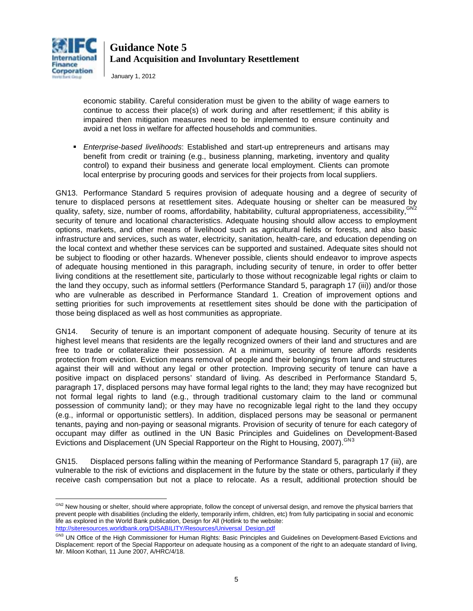

January 1, 2012

economic stability. Careful consideration must be given to the ability of wage earners to continue to access their place(s) of work during and after resettlement; if this ability is impaired then mitigation measures need to be implemented to ensure continuity and avoid a net loss in welfare for affected households and communities.

 *Enterprise-based livelihoods*: Established and start-up entrepreneurs and artisans may benefit from credit or training (e.g., business planning, marketing, inventory and quality control) to expand their business and generate local employment. Clients can promote local enterprise by procuring goods and services for their projects from local suppliers.

<span id="page-4-2"></span>GN13. Performance Standard 5 requires provision of adequate housing and a degree of security of tenure to displaced persons at resettlement sites. Adequate housing or shelter can be measured by quality, safety, size, number of rooms, affordability, habitability, cultural appropriateness, accessibility, <sup>GN[2](#page-2-0)</sup> security of tenure and locational characteristics. Adequate housing should allow access to employment options, markets, and other means of livelihood such as agricultural fields or forests, and also basic infrastructure and services, such as water, electricity, sanitation, health-care, and education depending on the local context and whether these services can be supported and sustained. Adequate sites should not be subject to flooding or other hazards. Whenever possible, clients should endeavor to improve aspects of adequate housing mentioned in this paragraph, including security of tenure, in order to offer better living conditions at the resettlement site, particularly to those without recognizable legal rights or claim to the land they occupy, such as informal settlers (Performance Standard 5, paragraph 17 (iii)) and/or those who are vulnerable as described in Performance Standard 1. Creation of improvement options and setting priorities for such improvements at resettlement sites should be done with the participation of those being displaced as well as host communities as appropriate.

<span id="page-4-3"></span>GN14. Security of tenure is an important component of adequate housing. Security of tenure at its highest level means that residents are the legally recognized owners of their land and structures and are free to trade or collateralize their possession. At a minimum, security of tenure affords residents protection from eviction. Eviction means removal of people and their belongings from land and structures against their will and without any legal or other protection. Improving security of tenure can have a positive impact on displaced persons' standard of living. As described in Performance Standard 5, paragraph 17, displaced persons may have formal legal rights to the land; they may have recognized but not formal legal rights to land (e.g., through traditional customary claim to the land or communal possession of community land); or they may have no recognizable legal right to the land they occupy (e.g., informal or opportunistic settlers). In addition, displaced persons may be seasonal or permanent tenants, paying and non-paying or seasonal migrants. Provision of security of tenure for each category of occupant may differ as outlined in the UN Basic Principles and Guidelines on Development-Based Evictions and Displacement (UN Special Rapporteur on the Right to Housing, 2007).<sup>GN[3](#page-4-0)</sup>

GN15. Displaced persons falling within the meaning of Performance Standard 5, paragraph 17 (iii), are vulnerable to the risk of evictions and displacement in the future by the state or others, particularly if they receive cash compensation but not a place to relocate. As a result, additional protection should be

 $\overline{a}$ <sup>GN2</sup> New housing or shelter, should where appropriate, follow the concept of universal design, and remove the physical barriers that prevent people with disabilities (including the elderly, temporarily infirm, children, etc) from fully participating in social and economic life as explored in the World Bank publication, Design for All (Hotlink to the website: [http://siteresources.worldbank.org/DISABILITY/Resources/Universal\\_Design.pdf](http://siteresources.worldbank.org/DISABILITY/Resources/Universal_Design.pdf)

<span id="page-4-1"></span><span id="page-4-0"></span>GN3 UN Office of the High Commissioner for Human Rights: Basic Principles and Guidelines on Development-Based Evictions and Displacement: report of the Special Rapporteur on adequate housing as a component of the right to an adequate standard of living, Mr. Miloon Kothari, 11 June 2007, A/HRC/4/18.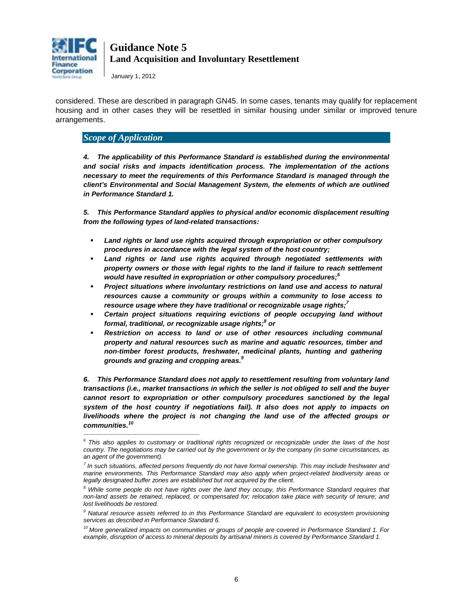

January 1, 2012

considered. These are described in paragraph GN45. In some cases, tenants may qualify for replacement housing and in other cases they will be resettled in similar housing under similar or improved tenure arrangements.

### *Scope of Application*

\_\_\_\_\_\_\_\_\_\_\_\_\_\_\_\_\_\_\_\_\_\_\_\_\_\_\_\_\_\_\_\_\_\_\_\_\_\_\_\_\_\_\_\_\_\_\_\_\_\_\_\_\_\_

*4. The applicability of this Performance Standard is established during the environmental and social risks and impacts identification process. The implementation of the actions necessary to meet the requirements of this Performance Standard is managed through the client's Environmental and Social Management System, the elements of which are outlined in Performance Standard 1.*

*5. This Performance Standard applies to physical and/or economic displacement resulting from the following types of land-related transactions:* 

- *Land rights or land use rights acquired through expropriation or other compulsory procedures in accordance with the legal system of the host country;*
- Land rights or land use rights acquired through negotiated settlements with *property owners or those with legal rights to the land if failure to reach settlement*  would have resulted in expropriation or other compulsory procedures;<sup>6</sup>
- *Project situations where involuntary restrictions on land use and access to natural resources cause a community or groups within a community to lose access to resource usage where they have traditional or recognizable usage rights; 7*
- *Certain project situations requiring evictions of people occupying land without formal, traditional, or recognizable usage rights; <sup>8</sup> or*
- *Restriction on access to land or use of other resources including communal property and natural resources such as marine and aquatic resources, timber and non-timber forest products, freshwater, medicinal plants, hunting and gathering grounds and grazing and cropping areas. 9*

*6. This Performance Standard does not apply to resettlement resulting from voluntary land transactions (i.e., market transactions in which the seller is not obliged to sell and the buyer cannot resort to expropriation or other compulsory procedures sanctioned by the legal system of the host country if negotiations fail). It also does not apply to impacts on livelihoods where the project is not changing the land use of the affected groups or communities. 10*

*<sup>6</sup> This also applies to customary or traditional rights recognized or recognizable under the laws of the host country. The negotiations may be carried out by the government or by the company (in some circumstances, as an agent of the government).* 

*<sup>7</sup> In such situations, affected persons frequently do not have formal ownership. This may include freshwater and marine environments. This Performance Standard may also apply when project-related biodiversity areas or*  legally designated buffer zones are established but not acquired by the client.

*<sup>8</sup> While some people do not have rights over the land they occupy, this Performance Standard requires that non-land assets be retained, replaced, or compensated for; relocation take place with security of tenure; and lost livelihoods be restored.* 

*<sup>9</sup> Natural resource assets referred to in this Performance Standard are equivalent to ecosystem provisioning services as described in Performance Standard 6.* 

*<sup>10</sup> More generalized impacts on communities or groups of people are covered in Performance Standard 1. For example, disruption of access to mineral deposits by artisanal miners is covered by Performance Standard 1.*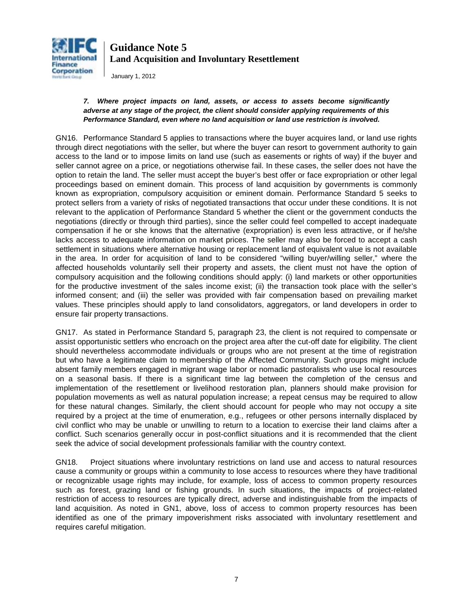

January 1, 2012

### *7. Where project impacts on land, assets, or access to assets become significantly adverse at any stage of the project, the client should consider applying requirements of this Performance Standard, even where no land acquisition or land use restriction is involved.*

GN16. Performance Standard 5 applies to transactions where the buyer acquires land, or land use rights through direct negotiations with the seller, but where the buyer can resort to government authority to gain access to the land or to impose limits on land use (such as easements or rights of way) if the buyer and seller cannot agree on a price, or negotiations otherwise fail. In these cases, the seller does not have the option to retain the land. The seller must accept the buyer's best offer or face expropriation or other legal proceedings based on eminent domain. This process of land acquisition by governments is commonly known as expropriation, compulsory acquisition or eminent domain. Performance Standard 5 seeks to protect sellers from a variety of risks of negotiated transactions that occur under these conditions. It is not relevant to the application of Performance Standard 5 whether the client or the government conducts the negotiations (directly or through third parties), since the seller could feel compelled to accept inadequate compensation if he or she knows that the alternative (expropriation) is even less attractive, or if he/she lacks access to adequate information on market prices. The seller may also be forced to accept a cash settlement in situations where alternative housing or replacement land of equivalent value is not available in the area. In order for acquisition of land to be considered "willing buyer/willing seller," where the affected households voluntarily sell their property and assets, the client must not have the option of compulsory acquisition and the following conditions should apply: (i) land markets or other opportunities for the productive investment of the sales income exist; (ii) the transaction took place with the seller's informed consent; and (iii) the seller was provided with fair compensation based on prevailing market values. These principles should apply to land consolidators, aggregators, or land developers in order to ensure fair property transactions.

<span id="page-6-0"></span>GN17. As stated in Performance Standard 5, paragraph 23, the client is not required to compensate or assist opportunistic settlers who encroach on the project area after the cut-off date for eligibility. The client should nevertheless accommodate individuals or groups who are not present at the time of registration but who have a legitimate claim to membership of the Affected Community. Such groups might include absent family members engaged in migrant wage labor or nomadic pastoralists who use local resources on a seasonal basis. If there is a significant time lag between the completion of the census and implementation of the resettlement or livelihood restoration plan, planners should make provision for population movements as well as natural population increase; a repeat census may be required to allow for these natural changes. Similarly, the client should account for people who may not occupy a site required by a project at the time of enumeration, e.g., refugees or other persons internally displaced by civil conflict who may be unable or unwilling to return to a location to exercise their land claims after a conflict. Such scenarios generally occur in post-conflict situations and it is recommended that the client seek the advice of social development professionals familiar with the country context.

GN18. Project situations where involuntary restrictions on land use and access to natural resources cause a community or groups within a community to lose access to resources where they have traditional or recognizable usage rights may include, for example, loss of access to common property resources such as forest, grazing land or fishing grounds. In such situations, the impacts of project-related restriction of access to resources are typically direct, adverse and indistinguishable from the impacts of land acquisition. As noted in GN1, above, loss of access to common property resources has been identified as one of the primary impoverishment risks associated with involuntary resettlement and requires careful mitigation.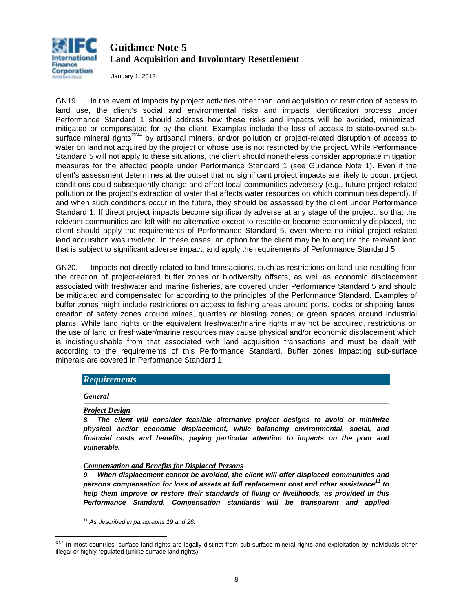

January 1, 2012

GN19. In the event of impacts by project activities other than land acquisition or restriction of access to land use, the client's social and environmental risks and impacts identification process under Performance Standard 1 should address how these risks and impacts will be avoided, minimized, mitigated or compensated for by the client. Examples include the loss of access to state-owned sub-surface mineral rights<sup>GN[4](#page-4-1)</sup> by artisanal miners, and/or pollution or project-related disruption of access to water on land not acquired by the project or whose use is not restricted by the project. While Performance Standard 5 will not apply to these situations, the client should nonetheless consider appropriate mitigation measures for the affected people under Performance Standard 1 (see Guidance Note 1). Even if the client's assessment determines at the outset that no significant project impacts are likely to occur, project conditions could subsequently change and affect local communities adversely (e.g., future project-related pollution or the project's extraction of water that affects water resources on which communities depend). If and when such conditions occur in the future, they should be assessed by the client under Performance Standard 1. If direct project impacts become significantly adverse at any stage of the project, so that the relevant communities are left with no alternative except to resettle or become economically displaced, the client should apply the requirements of Performance Standard 5, even where no initial project-related land acquisition was involved. In these cases, an option for the client may be to acquire the relevant land that is subject to significant adverse impact, and apply the requirements of Performance Standard 5.

GN20. Impacts not directly related to land transactions, such as restrictions on land use resulting from the creation of project-related buffer zones or biodiversity offsets, as well as economic displacement associated with freshwater and marine fisheries, are covered under Performance Standard 5 and should be mitigated and compensated for according to the principles of the Performance Standard. Examples of buffer zones might include restrictions on access to fishing areas around ports, docks or shipping lanes; creation of safety zones around mines, quarries or blasting zones; or green spaces around industrial plants. While land rights or the equivalent freshwater/marine rights may not be acquired, restrictions on the use of land or freshwater/marine resources may cause physical and/or economic displacement which is indistinguishable from that associated with land acquisition transactions and must be dealt with according to the requirements of this Performance Standard. Buffer zones impacting sub-surface minerals are covered in Performance Standard 1.

### *Requirements*

*General* 

#### *Project Design*

*8. The client will consider feasible alternative project designs to avoid or minimize physical and/or economic displacement, while balancing environmental, social, and financial costs and benefits, paying particular attention to impacts on the poor and vulnerable.* 

#### *Compensation and Benefits for Displaced Persons*

*9. When displacement cannot be avoided, the client will offer displaced communities and persons compensation for loss of assets at full replacement cost and other assistance<sup>11</sup> to help them improve or restore their standards of living or livelihoods, as provided in this Performance Standard. Compensation standards will be transparent and applied*

\_\_\_\_\_\_\_\_\_\_\_\_\_\_\_\_\_\_\_\_\_\_\_\_\_\_\_\_\_\_\_\_\_\_\_\_\_\_\_\_\_\_\_\_\_\_\_\_\_\_\_\_\_\_ *<sup>11</sup> As described in paragraphs 19 and 26.*

<span id="page-7-0"></span> $\overline{a}$ <sup>GN4</sup> In most countries, surface land rights are legally distinct from sub-surface mineral rights and exploitation by individuals either illegal or highly regulated (unlike surface land rights).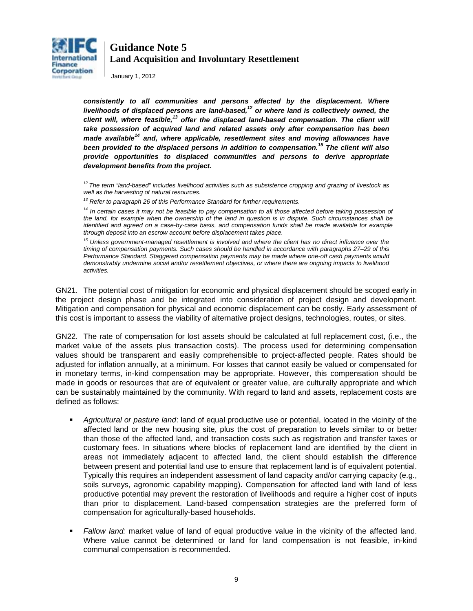

January 1, 2012

\_\_\_\_\_\_\_\_\_\_\_\_\_\_\_\_\_\_\_\_\_\_\_\_\_\_\_\_\_\_\_\_\_\_\_\_\_\_\_\_\_\_\_\_\_\_\_\_\_\_\_\_\_\_

*consistently to all communities and persons affected by the displacement. Where livelihoods of displaced persons are land-based,12 or where land is collectively owned, the client will, where feasible,<sup>13</sup> offer the displaced land-based compensation. The client will take possession of acquired land and related assets only after compensation has been made available<sup>14</sup> and, where applicable, resettlement sites and moving allowances have been provided to the displaced persons in addition to compensation.<sup>15</sup> The client will also provide opportunities to displaced communities and persons to derive appropriate development benefits from the project.* 

<sup>15</sup> Unless government-managed resettlement is involved and where the client has no direct influence over the *timing of compensation payments. Such cases should be handled in accordance with paragraphs 27–29 of this Performance Standard. Staggered compensation payments may be made where one-off cash payments would demonstrably undermine social and/or resettlement objectives, or where there are ongoing impacts to livelihood activities.* 

GN21. The potential cost of mitigation for economic and physical displacement should be scoped early in the project design phase and be integrated into consideration of project design and development. Mitigation and compensation for physical and economic displacement can be costly. Early assessment of this cost is important to assess the viability of alternative project designs, technologies, routes, or sites.

GN22. The rate of compensation for lost assets should be calculated at full replacement cost, (i.e., the market value of the assets plus transaction costs). The process used for determining compensation values should be transparent and easily comprehensible to project-affected people. Rates should be adjusted for inflation annually, at a minimum. For losses that cannot easily be valued or compensated for in monetary terms, in-kind compensation may be appropriate. However, this compensation should be made in goods or resources that are of equivalent or greater value, are culturally appropriate and which can be sustainably maintained by the community. With regard to land and assets, replacement costs are defined as follows:

- *Agricultural or pasture land*: land of equal productive use or potential, located in the vicinity of the affected land or the new housing site, plus the cost of preparation to levels similar to or better than those of the affected land, and transaction costs such as registration and transfer taxes or customary fees. In situations where blocks of replacement land are identified by the client in areas not immediately adjacent to affected land, the client should establish the difference between present and potential land use to ensure that replacement land is of equivalent potential. Typically this requires an independent assessment of land capacity and/or carrying capacity (e.g., soils surveys, agronomic capability mapping). Compensation for affected land with land of less productive potential may prevent the restoration of livelihoods and require a higher cost of inputs than prior to displacement. Land-based compensation strategies are the preferred form of compensation for agriculturally-based households.
- *Fallow land:* market value of land of equal productive value in the vicinity of the affected land. Where value cannot be determined or land for land compensation is not feasible, in-kind communal compensation is recommended.

*<sup>12</sup> The term "land-based" includes livelihood activities such as subsistence cropping and grazing of livestock as well as the harvesting of natural resources.* 

*<sup>13</sup> Refer to paragraph 26 of this Performance Standard for further requirements.* 

<sup>&</sup>lt;sup>14</sup> In certain cases it may not be feasible to pay compensation to all those affected before taking possession of *the land, for example when the ownership of the land in question is in dispute. Such circumstances shall be identified and agreed on a case-by-case basis, and compensation funds shall be made available for example through deposit into an escrow account before displacement takes place.*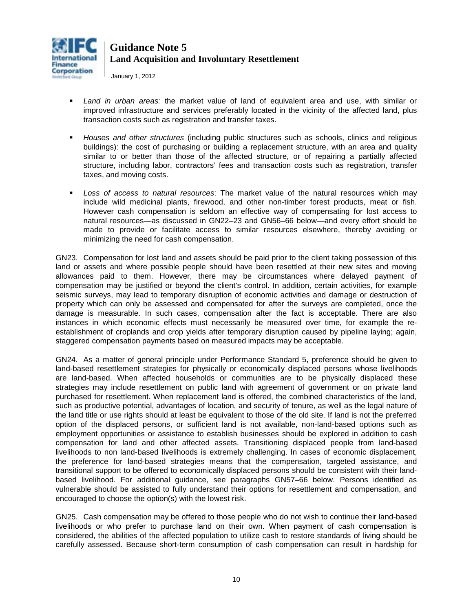

January 1, 2012

- *Land in urban areas:* the market value of land of equivalent area and use, with similar or improved infrastructure and services preferably located in the vicinity of the affected land, plus transaction costs such as registration and transfer taxes.
- *Houses and other structures* (including public structures such as schools, clinics and religious buildings): the cost of purchasing or building a replacement structure, with an area and quality similar to or better than those of the affected structure, or of repairing a partially affected structure, including labor, contractors' fees and transaction costs such as registration, transfer taxes, and moving costs.
- *Loss of access to natural resources*: The market value of the natural resources which may include wild medicinal plants, firewood, and other non-timber forest products, meat or fish. However cash compensation is seldom an effective way of compensating for lost access to natural resources—as discussed in GN22–23 and GN56–66 below—and every effort should be made to provide or facilitate access to similar resources elsewhere, thereby avoiding or minimizing the need for cash compensation.

GN23. Compensation for lost land and assets should be paid prior to the client taking possession of this land or assets and where possible people should have been resettled at their new sites and moving allowances paid to them. However, there may be circumstances where delayed payment of compensation may be justified or beyond the client's control. In addition, certain activities, for example seismic surveys, may lead to temporary disruption of economic activities and damage or destruction of property which can only be assessed and compensated for after the surveys are completed, once the damage is measurable. In such cases, compensation after the fact is acceptable. There are also instances in which economic effects must necessarily be measured over time, for example the reestablishment of croplands and crop yields after temporary disruption caused by pipeline laying; again, staggered compensation payments based on measured impacts may be acceptable.

GN24. As a matter of general principle under Performance Standard 5, preference should be given to land-based resettlement strategies for physically or economically displaced persons whose livelihoods are land-based. When affected households or communities are to be physically displaced these strategies may include resettlement on public land with agreement of government or on private land purchased for resettlement. When replacement land is offered, the combined characteristics of the land, such as productive potential, advantages of location, and security of tenure, as well as the legal nature of the land title or use rights should at least be equivalent to those of the old site. If land is not the preferred option of the displaced persons, or sufficient land is not available, non-land-based options such as employment opportunities or assistance to establish businesses should be explored in addition to cash compensation for land and other affected assets. Transitioning displaced people from land-based livelihoods to non land-based livelihoods is extremely challenging. In cases of economic displacement, the preference for land-based strategies means that the compensation, targeted assistance, and transitional support to be offered to economically displaced persons should be consistent with their landbased livelihood. For additional guidance, see paragraphs GN57–66 below. Persons identified as vulnerable should be assisted to fully understand their options for resettlement and compensation, and encouraged to choose the option(s) with the lowest risk.

GN25. Cash compensation may be offered to those people who do not wish to continue their land-based livelihoods or who prefer to purchase land on their own. When payment of cash compensation is considered, the abilities of the affected population to utilize cash to restore standards of living should be carefully assessed. Because short-term consumption of cash compensation can result in hardship for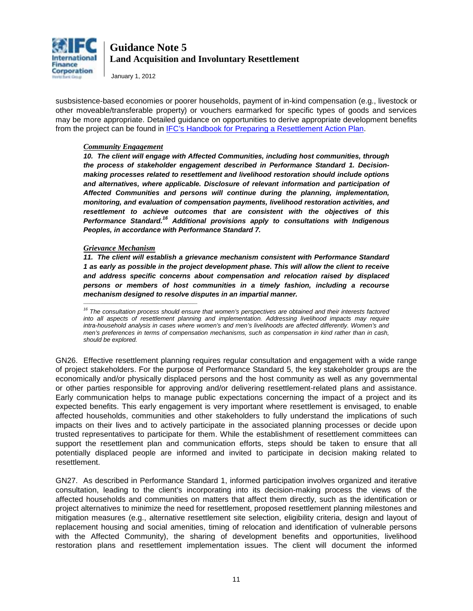

January 1, 2012

susbsistence-based economies or poorer households, payment of in-kind compensation (e.g., livestock or other moveable/transferable property) or vouchers earmarked for specific types of goods and services may be more appropriate. Detailed guidance on opportunities to derive appropriate development benefits from the project can be found in [IFC's Handbook for Preparing a Resettlement Action Plan.](http://www1.ifc.org/wps/wcm/connect/topics_ext_content/ifc_external_corporate_site/ifc+sustainability/publications/publications_handbook_rap__wci__1319577659424)

#### *Community Engagement*

10. The client will engage with Affected Communities, including host communities, through *the process of stakeholder engagement described in Performance Standard 1. Decisionmaking processes related to resettlement and livelihood restoration should include options and alternatives, where applicable. Disclosure of relevant information and participation of Affected Communities and persons will continue during the planning, implementation, monitoring, and evaluation of compensation payments, livelihood restoration activities, and resettlement to achieve outcomes that are consistent with the objectives of this Performance Standard.<sup>16</sup> Additional provisions apply to consultations with Indigenous Peoples, in accordance with Performance Standard 7.* 

#### *Grievance Mechanism*

 $\mathcal{L}_\text{max}$  and  $\mathcal{L}_\text{max}$  and  $\mathcal{L}_\text{max}$  are the set of the set of the set of the set of the set of the set of the set of the set of the set of the set of the set of the set of the set of the set of the set of th

*11. The client will establish a grievance mechanism consistent with Performance Standard 1 as early as possible in the project development phase. This will allow the client to receive and address specific concerns about compensation and relocation raised by displaced persons or members of host communities in a timely fashion, including a recourse mechanism designed to resolve disputes in an impartial manner.* 

*<sup>16</sup> The consultation process should ensure that women's perspectives are obtained and their interests factored into all aspects of resettlement planning and implementation. Addressing livelihood impacts may require intra-household analysis in cases where women's and men's livelihoods are affected differently. Women's and men's preferences in terms of compensation mechanisms, such as compensation in kind rather than in cash, should be explored.* 

GN26. Effective resettlement planning requires regular consultation and engagement with a wide range of project stakeholders. For the purpose of Performance Standard 5, the key stakeholder groups are the economically and/or physically displaced persons and the host community as well as any governmental or other parties responsible for approving and/or delivering resettlement-related plans and assistance. Early communication helps to manage public expectations concerning the impact of a project and its expected benefits. This early engagement is very important where resettlement is envisaged, to enable affected households, communities and other stakeholders to fully understand the implications of such impacts on their lives and to actively participate in the associated planning processes or decide upon trusted representatives to participate for them. While the establishment of resettlement committees can support the resettlement plan and communication efforts, steps should be taken to ensure that all potentially displaced people are informed and invited to participate in decision making related to resettlement.

GN27. As described in Performance Standard 1, informed participation involves organized and iterative consultation, leading to the client's incorporating into its decision-making process the views of the affected households and communities on matters that affect them directly, such as the identification or project alternatives to minimize the need for resettlement, proposed resettlement planning milestones and mitigation measures (e.g., alternative resettlement site selection, eligibility criteria, design and layout of replacement housing and social amenities, timing of relocation and identification of vulnerable persons with the Affected Community), the sharing of development benefits and opportunities, livelihood restoration plans and resettlement implementation issues. The client will document the informed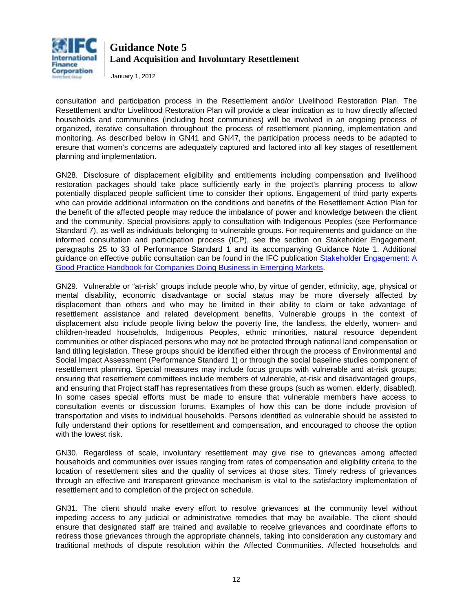

January 1, 2012

consultation and participation process in the Resettlement and/or Livelihood Restoration Plan. The Resettlement and/or Livelihood Restoration Plan will provide a clear indication as to how directly affected households and communities (including host communities) will be involved in an ongoing process of organized, iterative consultation throughout the process of resettlement planning, implementation and monitoring. As described below in GN41 and GN47, the participation process needs to be adapted to ensure that women's concerns are adequately captured and factored into all key stages of resettlement planning and implementation.

GN28. Disclosure of displacement eligibility and entitlements including compensation and livelihood restoration packages should take place sufficiently early in the project's planning process to allow potentially displaced people sufficient time to consider their options. Engagement of third party experts who can provide additional information on the conditions and benefits of the Resettlement Action Plan for the benefit of the affected people may reduce the imbalance of power and knowledge between the client and the community. Special provisions apply to consultation with Indigenous Peoples (see Performance Standard 7), as well as individuals belonging to vulnerable groups. For requirements and guidance on the informed consultation and participation process (ICP), see the section on Stakeholder Engagement, paragraphs 25 to 33 of Performance Standard 1 and its accompanying Guidance Note 1. Additional guidance on effective public consultation can be found in the IFC publication [Stakeholder Engagement: A](http://www1.ifc.org/wps/wcm/connect/Topics_ext_content/ifc_external_corporate_site/IFC%20Sustainability/Publications/Publications_Handbook_StakeholderEngagement__WCI__1319577185063?id=9036808048d2ea68ba36bf4b02f32852&WCM_Page.ResetAll=TRUE&CACHE=NONE&CONTE)  [Good Practice Handbook for Companies Doing Business in Emerging Markets.](http://www1.ifc.org/wps/wcm/connect/Topics_ext_content/ifc_external_corporate_site/IFC%20Sustainability/Publications/Publications_Handbook_StakeholderEngagement__WCI__1319577185063?id=9036808048d2ea68ba36bf4b02f32852&WCM_Page.ResetAll=TRUE&CACHE=NONE&CONTE) 

GN29. Vulnerable or "at-risk" groups include people who, by virtue of gender, ethnicity, age, physical or mental disability, economic disadvantage or social status may be more diversely affected by displacement than others and who may be limited in their ability to claim or take advantage of resettlement assistance and related development benefits. Vulnerable groups in the context of displacement also include people living below the poverty line, the landless, the elderly, women- and children-headed households, Indigenous Peoples, ethnic minorities, natural resource dependent communities or other displaced persons who may not be protected through national land compensation or land titling legislation. These groups should be identified either through the process of Environmental and Social Impact Assessment (Performance Standard 1) or through the social baseline studies component of resettlement planning. Special measures may include focus groups with vulnerable and at-risk groups; ensuring that resettlement committees include members of vulnerable, at-risk and disadvantaged groups, and ensuring that Project staff has representatives from these groups (such as women, elderly, disabled). In some cases special efforts must be made to ensure that vulnerable members have access to consultation events or discussion forums. Examples of how this can be done include provision of transportation and visits to individual households. Persons identified as vulnerable should be assisted to fully understand their options for resettlement and compensation, and encouraged to choose the option with the lowest risk.

GN30. Regardless of scale, involuntary resettlement may give rise to grievances among affected households and communities over issues ranging from rates of compensation and eligibility criteria to the location of resettlement sites and the quality of services at those sites. Timely redress of grievances through an effective and transparent grievance mechanism is vital to the satisfactory implementation of resettlement and to completion of the project on schedule.

GN31. The client should make every effort to resolve grievances at the community level without impeding access to any judicial or administrative remedies that may be available. The client should ensure that designated staff are trained and available to receive grievances and coordinate efforts to redress those grievances through the appropriate channels, taking into consideration any customary and traditional methods of dispute resolution within the Affected Communities. Affected households and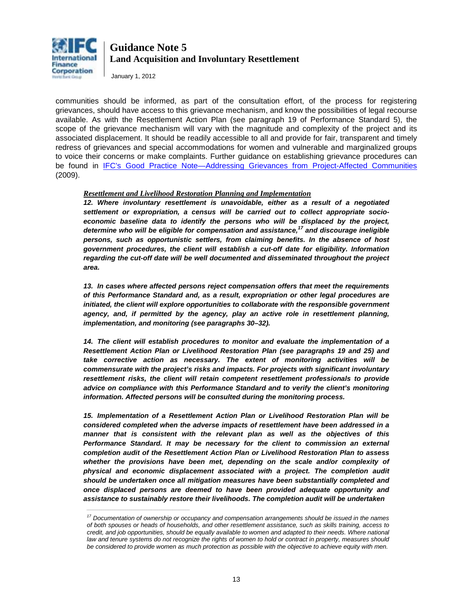

January 1, 2012

*\_\_\_\_\_\_\_\_\_\_\_\_\_\_\_\_\_\_\_\_\_\_\_\_\_\_\_\_\_\_\_\_\_\_\_\_\_\_\_\_\_\_\_\_\_\_\_\_*

communities should be informed, as part of the consultation effort, of the process for registering grievances, should have access to this grievance mechanism, and know the possibilities of legal recourse available. As with the Resettlement Action Plan (see paragraph 19 of Performance Standard 5), the scope of the grievance mechanism will vary with the magnitude and complexity of the project and its associated displacement. It should be readily accessible to all and provide for fair, transparent and timely redress of grievances and special accommodations for women and vulnerable and marginalized groups to voice their concerns or make complaints. Further guidance on establishing grievance procedures can be found in [IFC's Good Practice Note—Addressing Grievances from Project-Affected Communities](http://www1.ifc.org/wps/wcm/connect/Topics_ext_content/ifc_external_corporate_site/IFC%20Sustainability/Publications/Publications_GPN_Grievances?id=c45a0d8048d2e632a86dbd4b02f32852&WCM_Page.ResetAll=TRUE&CACHE=NONE&CONTENTCACHE=NONE&CONNECTORCACHE=NONE&SRV) (2009).

#### *Resettlement and Livelihood Restoration Planning and Implementation*

*12. Where involuntary resettlement is unavoidable, either as a result of a negotiated settlement or expropriation, a census will be carried out to collect appropriate socioeconomic baseline data to identify the persons who will be displaced by the project, determine who will be eligible for compensation and assistance,<sup>17</sup> and discourage ineligible persons, such as opportunistic settlers, from claiming benefits. In the absence of host government procedures, the client will establish a cut-off date for eligibility. Information regarding the cut-off date will be well documented and disseminated throughout the project area.* 

*13. In cases where affected persons reject compensation offers that meet the requirements of this Performance Standard and, as a result, expropriation or other legal procedures are initiated, the client will explore opportunities to collaborate with the responsible government agency, and, if permitted by the agency, play an active role in resettlement planning, implementation, and monitoring (see paragraphs 30–32).* 

*14. The client will establish procedures to monitor and evaluate the implementation of a Resettlement Action Plan or Livelihood Restoration Plan (see paragraphs 19 and 25) and take corrective action as necessary. The extent of monitoring activities will be commensurate with the project's risks and impacts. For projects with significant involuntary resettlement risks, the client will retain competent resettlement professionals to provide advice on compliance with this Performance Standard and to verify the client's monitoring information. Affected persons will be consulted during the monitoring process.*

*15. Implementation of a Resettlement Action Plan or Livelihood Restoration Plan will be considered completed when the adverse impacts of resettlement have been addressed in a manner that is consistent with the relevant plan as well as the objectives of this Performance Standard. It may be necessary for the client to commission an external completion audit of the Resettlement Action Plan or Livelihood Restoration Plan to assess whether the provisions have been met, depending on the scale and/or complexity of physical and economic displacement associated with a project. The completion audit should be undertaken once all mitigation measures have been substantially completed and once displaced persons are deemed to have been provided adequate opportunity and assistance to sustainably restore their livelihoods. The completion audit will be undertaken* 

*<sup>17</sup> Documentation of ownership or occupancy and compensation arrangements should be issued in the names of both spouses or heads of households, and other resettlement assistance, such as skills training, access to credit, and job opportunities, should be equally available to women and adapted to their needs. Where national*  law and tenure systems do not recognize the rights of women to hold or contract in property, measures should *be considered to provide women as much protection as possible with the objective to achieve equity with men.*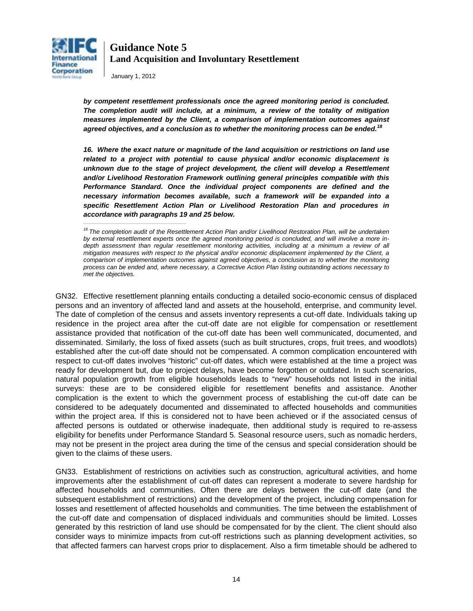

January 1, 2012

*by competent resettlement professionals once the agreed monitoring period is concluded. The completion audit will include, at a minimum, a review of the totality of mitigation measures implemented by the Client, a comparison of implementation outcomes against agreed objectives, and a conclusion as to whether the monitoring process can be ended.<sup>18</sup>*

*16. Where the exact nature or magnitude of the land acquisition or restrictions on land use related to a project with potential to cause physical and/or economic displacement is unknown due to the stage of project development, the client will develop a Resettlement and/or Livelihood Restoration Framework outlining general principles compatible with this Performance Standard. Once the individual project components are defined and the necessary information becomes available, such a framework will be expanded into a specific Resettlement Action Plan or Livelihood Restoration Plan and procedures in accordance with paragraphs 19 and 25 below. \_\_\_\_\_\_\_\_\_\_\_\_\_\_\_\_\_\_\_\_\_\_\_\_\_\_\_\_\_\_\_\_\_\_\_\_\_\_\_\_\_\_\_\_\_\_\_\_*

GN32. Effective resettlement planning entails conducting a detailed socio-economic census of displaced persons and an inventory of affected land and assets at the household, enterprise, and community level. The date of completion of the census and assets inventory represents a cut-off date. Individuals taking up residence in the project area after the cut-off date are not eligible for compensation or resettlement assistance provided that notification of the cut-off date has been well communicated, documented, and disseminated. Similarly, the loss of fixed assets (such as built structures, crops, fruit trees, and woodlots) established after the cut-off date should not be compensated. A common complication encountered with respect to cut-off dates involves "historic" cut-off dates, which were established at the time a project was ready for development but, due to project delays, have become forgotten or outdated. In such scenarios, natural population growth from eligible households leads to "new" households not listed in the initial surveys: these are to be considered eligible for resettlement benefits and assistance. Another complication is the extent to which the government process of establishing the cut-off date can be considered to be adequately documented and disseminated to affected households and communities within the project area. If this is considered not to have been achieved or if the associated census of affected persons is outdated or otherwise inadequate, then additional study is required to re-assess eligibility for benefits under Performance Standard 5. Seasonal resource users, such as nomadic herders, may not be present in the project area during the time of the census and special consideration should be given to the claims of these users.

GN33. Establishment of restrictions on activities such as construction, agricultural activities, and home improvements after the establishment of cut-off dates can represent a moderate to severe hardship for affected households and communities. Often there are delays between the cut-off date (and the subsequent establishment of restrictions) and the development of the project, including compensation for losses and resettlement of affected households and communities. The time between the establishment of the cut-off date and compensation of displaced individuals and communities should be limited. Losses generated by this restriction of land use should be compensated for by the client. The client should also consider ways to minimize impacts from cut-off restrictions such as planning development activities, so that affected farmers can harvest crops prior to displacement. Also a firm timetable should be adhered to

<sup>&</sup>lt;sup>18</sup> The completion audit of the Resettlement Action Plan and/or Livelihood Restoration Plan, will be undertaken *by external resettlement experts once the agreed monitoring period is concluded, and will involve a more in*depth assessment than regular resettlement monitoring activities, including at a minimum a review of all *mitigation measures with respect to the physical and/or economic displacement implemented by the Client, a comparison of implementation outcomes against agreed objectives, a conclusion as to whether the monitoring process can be ended and, where necessary, a Corrective Action Plan listing outstanding actions necessary to met the objectives.*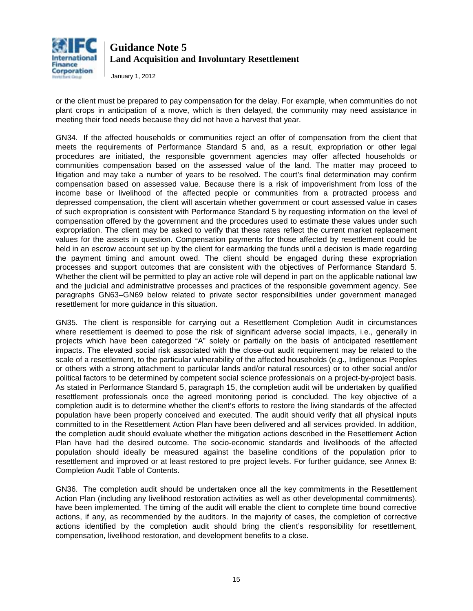

January 1, 2012

or the client must be prepared to pay compensation for the delay. For example, when communities do not plant crops in anticipation of a move, which is then delayed, the community may need assistance in meeting their food needs because they did not have a harvest that year.

GN34. If the affected households or communities reject an offer of compensation from the client that meets the requirements of Performance Standard 5 and, as a result, expropriation or other legal procedures are initiated, the responsible government agencies may offer affected households or communities compensation based on the assessed value of the land. The matter may proceed to litigation and may take a number of years to be resolved. The court's final determination may confirm compensation based on assessed value. Because there is a risk of impoverishment from loss of the income base or livelihood of the affected people or communities from a protracted process and depressed compensation, the client will ascertain whether government or court assessed value in cases of such expropriation is consistent with Performance Standard 5 by requesting information on the level of compensation offered by the government and the procedures used to estimate these values under such expropriation. The client may be asked to verify that these rates reflect the current market replacement values for the assets in question. Compensation payments for those affected by resettlement could be held in an escrow account set up by the client for earmarking the funds until a decision is made regarding the payment timing and amount owed. The client should be engaged during these expropriation processes and support outcomes that are consistent with the objectives of Performance Standard 5. Whether the client will be permitted to play an active role will depend in part on the applicable national law and the judicial and administrative processes and practices of the responsible government agency. See paragraphs GN63–GN69 below related to private sector responsibilities under government managed resettlement for more guidance in this situation.

GN35. The client is responsible for carrying out a Resettlement Completion Audit in circumstances where resettlement is deemed to pose the risk of significant adverse social impacts, i.e., generally in projects which have been categorized "A" solely or partially on the basis of anticipated resettlement impacts. The elevated social risk associated with the close-out audit requirement may be related to the scale of a resettlement, to the particular vulnerability of the affected households (e.g., Indigenous Peoples or others with a strong attachment to particular lands and/or natural resources) or to other social and/or political factors to be determined by competent social science professionals on a project-by-project basis. As stated in Performance Standard 5, paragraph 15, the completion audit will be undertaken by qualified resettlement professionals once the agreed monitoring period is concluded. The key objective of a completion audit is to determine whether the client's efforts to restore the living standards of the affected population have been properly conceived and executed. The audit should verify that all physical inputs committed to in the Resettlement Action Plan have been delivered and all services provided. In addition, the completion audit should evaluate whether the mitigation actions described in the Resettlement Action Plan have had the desired outcome. The socio-economic standards and livelihoods of the affected population should ideally be measured against the baseline conditions of the population prior to resettlement and improved or at least restored to pre project levels. For further guidance, see Annex B: Completion Audit Table of Contents.

GN36. The completion audit should be undertaken once all the key commitments in the Resettlement Action Plan (including any livelihood restoration activities as well as other developmental commitments). have been implemented. The timing of the audit will enable the client to complete time bound corrective actions, if any, as recommended by the auditors. In the majority of cases, the completion of corrective actions identified by the completion audit should bring the client's responsibility for resettlement, compensation, livelihood restoration, and development benefits to a close.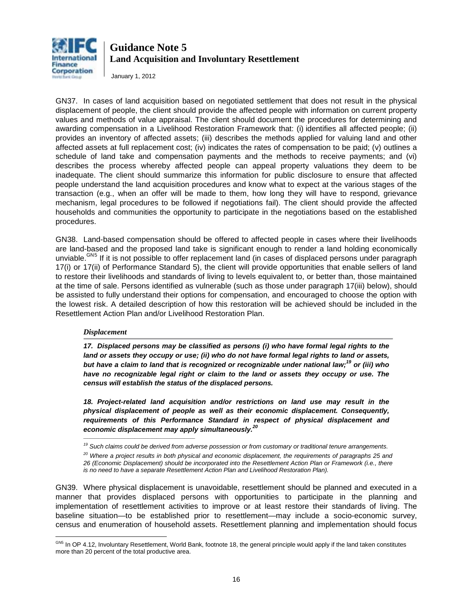

January 1, 2012

GN37. In cases of land acquisition based on negotiated settlement that does not result in the physical displacement of people, the client should provide the affected people with information on current property values and methods of value appraisal. The client should document the procedures for determining and awarding compensation in a Livelihood Restoration Framework that: (i) identifies all affected people; (ii) provides an inventory of affected assets; (iii) describes the methods applied for valuing land and other affected assets at full replacement cost; (iv) indicates the rates of compensation to be paid; (v) outlines a schedule of land take and compensation payments and the methods to receive payments; and (vi) describes the process whereby affected people can appeal property valuations they deem to be inadequate. The client should summarize this information for public disclosure to ensure that affected people understand the land acquisition procedures and know what to expect at the various stages of the transaction (e.g., when an offer will be made to them, how long they will have to respond, grievance mechanism, legal procedures to be followed if negotiations fail). The client should provide the affected households and communities the opportunity to participate in the negotiations based on the established procedures.

GN38. Land-based compensation should be offered to affected people in cases where their livelihoods are land-based and the proposed land take is significant enough to render a land holding economically unviable.<sup>GN[5](#page-7-0)</sup> If it is not possible to offer replacement land (in cases of displaced persons under paragraph 17(i) or 17(ii) of Performance Standard 5), the client will provide opportunities that enable sellers of land to restore their livelihoods and standards of living to levels equivalent to, or better than, those maintained at the time of sale. Persons identified as vulnerable (such as those under paragraph 17(iii) below), should be assisted to fully understand their options for compensation, and encouraged to choose the option with the lowest risk. A detailed description of how this restoration will be achieved should be included in the Resettlement Action Plan and/or Livelihood Restoration Plan.

#### *Displacement*

 $\mathcal{L}_\text{max}$  and  $\mathcal{L}_\text{max}$  and  $\mathcal{L}_\text{max}$  are the set of the set of the set of the set of the set of the set of the set of the set of the set of the set of the set of the set of the set of the set of the set of th

*17. Displaced persons may be classified as persons (i) who have formal legal rights to the land or assets they occupy or use; (ii) who do not have formal legal rights to land or assets, but have a claim to land that is recognized or recognizable under national law;<sup>19</sup> or (iii) who have no recognizable legal right or claim to the land or assets they occupy or use. The census will establish the status of the displaced persons.* 

*18. Project-related land acquisition and/or restrictions on land use may result in the physical displacement of people as well as their economic displacement. Consequently, requirements of this Performance Standard in respect of physical displacement and economic displacement may apply simultaneously. 20*

GN39. Where physical displacement is unavoidable, resettlement should be planned and executed in a manner that provides displaced persons with opportunities to participate in the planning and implementation of resettlement activities to improve or at least restore their standards of living. The baseline situation—to be established prior to resettlement—may include a socio-economic survey, census and enumeration of household assets. Resettlement planning and implementation should focus

*<sup>19</sup> Such claims could be derived from adverse possession or from customary or traditional tenure arrangements.* 

*<sup>20</sup> Where a project results in both physical and economic displacement, the requirements of paragraphs 25 and 26 (Economic Displacement) should be incorporated into the Resettlement Action Plan or Framework (i.e., there is no need to have a separate Resettlement Action Plan and Livelihood Restoration Plan).* 

<span id="page-15-0"></span> $\overline{a}$ <sup>GN5</sup> In OP 4.12, Involuntary Resettlement, World Bank, footnote 18, the general principle would apply if the land taken constitutes more than 20 percent of the total productive area.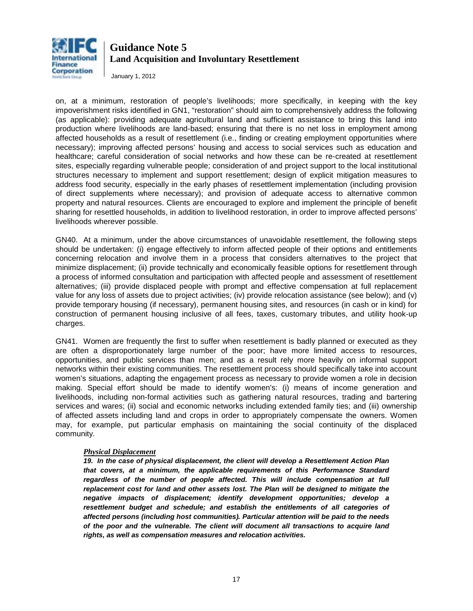

January 1, 2012

on, at a minimum, restoration of people's livelihoods; more specifically, in keeping with the key impoverishment risks identified in GN1, "restoration" should aim to comprehensively address the following (as applicable): providing adequate agricultural land and sufficient assistance to bring this land into production where livelihoods are land-based; ensuring that there is no net loss in employment among affected households as a result of resettlement (i.e., finding or creating employment opportunities where necessary); improving affected persons' housing and access to social services such as education and healthcare; careful consideration of social networks and how these can be re-created at resettlement sites, especially regarding vulnerable people; consideration of and project support to the local institutional structures necessary to implement and support resettlement; design of explicit mitigation measures to address food security, especially in the early phases of resettlement implementation (including provision of direct supplements where necessary); and provision of adequate access to alternative common property and natural resources. Clients are encouraged to explore and implement the principle of benefit sharing for resettled households, in addition to livelihood restoration, in order to improve affected persons' livelihoods wherever possible.

GN40. At a minimum, under the above circumstances of unavoidable resettlement, the following steps should be undertaken: (i) engage effectively to inform affected people of their options and entitlements concerning relocation and involve them in a process that considers alternatives to the project that minimize displacement; (ii) provide technically and economically feasible options for resettlement through a process of informed consultation and participation with affected people and assessment of resettlement alternatives; (iii) provide displaced people with prompt and effective compensation at full replacement value for any loss of assets due to project activities; (iv) provide relocation assistance (see below); and (v) provide temporary housing (if necessary), permanent housing sites, and resources (in cash or in kind) for construction of permanent housing inclusive of all fees, taxes, customary tributes, and utility hook-up charges.

GN41. Women are frequently the first to suffer when resettlement is badly planned or executed as they are often a disproportionately large number of the poor; have more limited access to resources, opportunities, and public services than men; and as a result rely more heavily on informal support networks within their existing communities. The resettlement process should specifically take into account women's situations, adapting the engagement process as necessary to provide women a role in decision making. Special effort should be made to identify women's: (i) means of income generation and livelihoods, including non-formal activities such as gathering natural resources, trading and bartering services and wares; (ii) social and economic networks including extended family ties; and (iii) ownership of affected assets including land and crops in order to appropriately compensate the owners. Women may, for example, put particular emphasis on maintaining the social continuity of the displaced community.

#### *Physical Displacement*

*19. In the case of physical displacement, the client will develop a Resettlement Action Plan that covers, at a minimum, the applicable requirements of this Performance Standard regardless of the number of people affected. This will include compensation at full replacement cost for land and other assets lost. The Plan will be designed to mitigate the negative impacts of displacement; identify development opportunities; develop a*  resettlement budget and schedule; and establish the entitlements of all categories of *affected persons (including host communities). Particular attention will be paid to the needs of the poor and the vulnerable. The client will document all transactions to acquire land rights, as well as compensation measures and relocation activities.*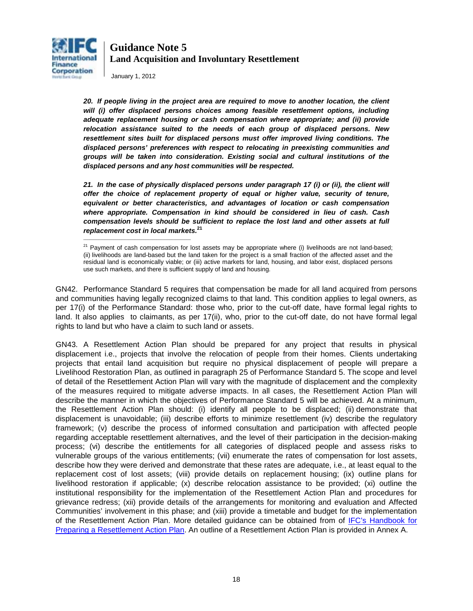

January 1, 2012

*20. If people living in the project area are required to move to another location, the client will (i) offer displaced persons choices among feasible resettlement options, including adequate replacement housing or cash compensation where appropriate; and (ii) provide relocation assistance suited to the needs of each group of displaced persons. New resettlement sites built for displaced persons must offer improved living conditions. The displaced persons' preferences with respect to relocating in preexisting communities and groups will be taken into consideration. Existing social and cultural institutions of the displaced persons and any host communities will be respected.*

*21. In the case of physically displaced persons under paragraph 17 (i) or (ii), the client will offer the choice of replacement property of equal or higher value, security of tenure, equivalent or better characteristics, and advantages of location or cash compensation where appropriate. Compensation in kind should be considered in lieu of cash. Cash compensation levels should be sufficient to replace the lost land and other assets at full replacement cost in local markets.* **<sup>21</sup>** \_\_\_\_\_\_\_\_\_\_\_\_\_\_\_\_\_\_\_\_\_\_\_\_\_\_\_\_\_\_\_\_\_\_\_\_\_\_\_\_\_\_\_\_\_\_\_\_\_\_

GN42. Performance Standard 5 requires that compensation be made for all land acquired from persons and communities having legally recognized claims to that land. This condition applies to legal owners, as per 17(i) of the Performance Standard: those who, prior to the cut-off date, have formal legal rights to land. It also applies to claimants, as per 17(ii), who, prior to the cut-off date, do not have formal legal rights to land but who have a claim to such land or assets.

GN43. A Resettlement Action Plan should be prepared for any project that results in physical displacement i.e., projects that involve the relocation of people from their homes. Clients undertaking projects that entail land acquisition but require no physical displacement of people will prepare a Livelihood Restoration Plan, as outlined in paragraph 25 of Performance Standard 5. The scope and level of detail of the Resettlement Action Plan will vary with the magnitude of displacement and the complexity of the measures required to mitigate adverse impacts. In all cases, the Resettlement Action Plan will describe the manner in which the objectives of Performance Standard 5 will be achieved. At a minimum, the Resettlement Action Plan should: (i) identify all people to be displaced; (ii) demonstrate that displacement is unavoidable; (iii) describe efforts to minimize resettlement (iv) describe the regulatory framework; (v) describe the process of informed consultation and participation with affected people regarding acceptable resettlement alternatives, and the level of their participation in the decision-making process; (vi) describe the entitlements for all categories of displaced people and assess risks to vulnerable groups of the various entitlements; (vii) enumerate the rates of compensation for lost assets, describe how they were derived and demonstrate that these rates are adequate, i.e., at least equal to the replacement cost of lost assets; (viii) provide details on replacement housing; (ix) outline plans for livelihood restoration if applicable; (x) describe relocation assistance to be provided; (xi) outline the institutional responsibility for the implementation of the Resettlement Action Plan and procedures for grievance redress; (xii) provide details of the arrangements for monitoring and evaluation and Affected Communities' involvement in this phase; and (xiii) provide a timetable and budget for the implementation of the Resettlement Action Plan. More detailed guidance can be obtained from of [IFC's Handbook for](http://www1.ifc.org/wps/wcm/connect/topics_ext_content/ifc_external_corporate_site/ifc+sustainability/publications/publications_handbook_rap__wci__1319577659424)  [Preparing a Resettlement Action Plan.](http://www1.ifc.org/wps/wcm/connect/topics_ext_content/ifc_external_corporate_site/ifc+sustainability/publications/publications_handbook_rap__wci__1319577659424) An outline of a Resettlement Action Plan is provided in Annex A.

<sup>&</sup>lt;sup>21</sup> Payment of cash compensation for lost assets may be appropriate where (i) livelihoods are not land-based; (ii) livelihoods are land-based but the land taken for the project is a small fraction of the affected asset and the residual land is economically viable; or (iii) active markets for land, housing, and labor exist, displaced persons use such markets, and there is sufficient supply of land and housing.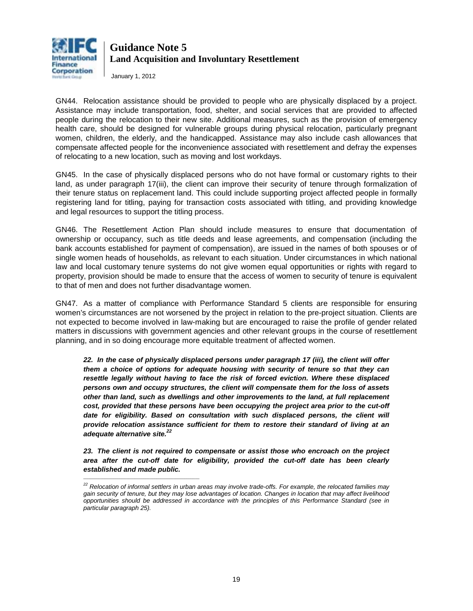

January 1, 2012

\_\_\_\_\_\_\_\_\_\_\_\_\_\_\_\_\_\_\_\_\_\_\_\_\_\_\_\_\_\_\_\_\_\_\_\_\_\_\_\_\_\_\_\_\_\_\_\_\_\_\_\_\_\_

GN44. Relocation assistance should be provided to people who are physically displaced by a project. Assistance may include transportation, food, shelter, and social services that are provided to affected people during the relocation to their new site. Additional measures, such as the provision of emergency health care, should be designed for vulnerable groups during physical relocation, particularly pregnant women, children, the elderly, and the handicapped. Assistance may also include cash allowances that compensate affected people for the inconvenience associated with resettlement and defray the expenses of relocating to a new location, such as moving and lost workdays.

GN45. In the case of physically displaced persons who do not have formal or customary rights to their land, as under paragraph 17(iii), the client can improve their security of tenure through formalization of their tenure status on replacement land. This could include supporting project affected people in formally registering land for titling, paying for transaction costs associated with titling, and providing knowledge and legal resources to support the titling process.

GN46. The Resettlement Action Plan should include measures to ensure that documentation of ownership or occupancy, such as title deeds and lease agreements, and compensation (including the bank accounts established for payment of compensation), are issued in the names of both spouses or of single women heads of households, as relevant to each situation. Under circumstances in which national law and local customary tenure systems do not give women equal opportunities or rights with regard to property, provision should be made to ensure that the access of women to security of tenure is equivalent to that of men and does not further disadvantage women.

GN47. As a matter of compliance with Performance Standard 5 clients are responsible for ensuring women's circumstances are not worsened by the project in relation to the pre-project situation. Clients are not expected to become involved in law-making but are encouraged to raise the profile of gender related matters in discussions with government agencies and other relevant groups in the course of resettlement planning, and in so doing encourage more equitable treatment of affected women.

*22. In the case of physically displaced persons under paragraph 17 (iii), the client will offer them a choice of options for adequate housing with security of tenure so that they can resettle legally without having to face the risk of forced eviction. Where these displaced persons own and occupy structures, the client will compensate them for the loss of assets other than land, such as dwellings and other improvements to the land, at full replacement cost, provided that these persons have been occupying the project area prior to the cut-off*  date for eligibility. Based on consultation with such displaced persons, the client will *provide relocation assistance sufficient for them to restore their standard of living at an adequate alternative site. 22*

*23. The client is not required to compensate or assist those who encroach on the project area after the cut-off date for eligibility, provided the cut-off date has been clearly established and made public.* 

*<sup>22</sup> Relocation of informal settlers in urban areas may involve trade-offs. For example, the relocated families may gain security of tenure, but they may lose advantages of location. Changes in location that may affect livelihood opportunities should be addressed in accordance with the principles of this Performance Standard (see in particular paragraph 25).*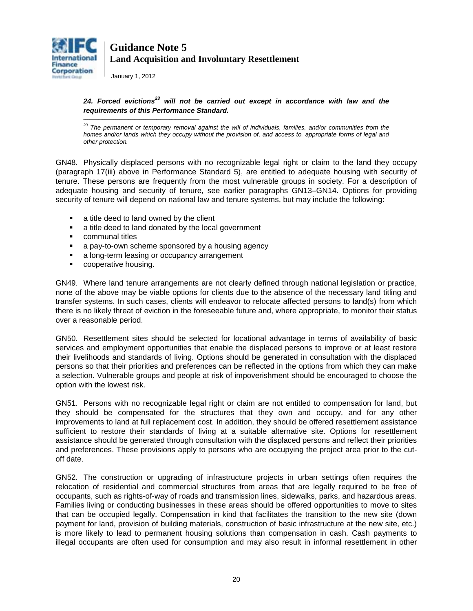

January 1, 2012

\_\_\_\_\_\_\_\_\_\_\_\_\_\_\_\_\_\_\_\_\_\_\_\_\_\_\_\_\_\_\_\_\_\_\_\_\_\_\_\_\_\_\_\_\_\_\_\_\_\_\_\_\_\_

#### *24. Forced evictions23 will not be carried out except in accordance with law and the requirements of this Performance Standard.*

*<sup>23</sup> The permanent or temporary removal against the will of individuals, families, and/or communities from the homes and/or lands which they occupy without the provision of, and access to, appropriate forms of legal and other protection.*

GN48. Physically displaced persons with no recognizable legal right or claim to the land they occupy (paragraph 17(iii) above in Performance Standard 5), are entitled to adequate housing with security of tenure. These persons are frequently from the most vulnerable groups in society. For a description of adequate housing and security of tenure, see earlier paragraphs [GN13](#page-4-2)[–GN14.](#page-4-3) Options for providing security of tenure will depend on national law and tenure systems, but may include the following:

- **a** title deed to land owned by the client
- **a** title deed to land donated by the local government
- **•** communal titles
- **a** a pay-to-own scheme sponsored by a housing agency
- **a** long-term leasing or occupancy arrangement
- **•** cooperative housing.

GN49. Where land tenure arrangements are not clearly defined through national legislation or practice, none of the above may be viable options for clients due to the absence of the necessary land titling and transfer systems. In such cases, clients will endeavor to relocate affected persons to land(s) from which there is no likely threat of eviction in the foreseeable future and, where appropriate, to monitor their status over a reasonable period.

GN50. Resettlement sites should be selected for locational advantage in terms of availability of basic services and employment opportunities that enable the displaced persons to improve or at least restore their livelihoods and standards of living. Options should be generated in consultation with the displaced persons so that their priorities and preferences can be reflected in the options from which they can make a selection. Vulnerable groups and people at risk of impoverishment should be encouraged to choose the option with the lowest risk.

GN51. Persons with no recognizable legal right or claim are not entitled to compensation for land, but they should be compensated for the structures that they own and occupy, and for any other improvements to land at full replacement cost. In addition, they should be offered resettlement assistance sufficient to restore their standards of living at a suitable alternative site. Options for resettlement assistance should be generated through consultation with the displaced persons and reflect their priorities and preferences. These provisions apply to persons who are occupying the project area prior to the cutoff date.

GN52. The construction or upgrading of infrastructure projects in urban settings often requires the relocation of residential and commercial structures from areas that are legally required to be free of occupants, such as rights-of-way of roads and transmission lines, sidewalks, parks, and hazardous areas. Families living or conducting businesses in these areas should be offered opportunities to move to sites that can be occupied legally. Compensation in kind that facilitates the transition to the new site (down payment for land, provision of building materials, construction of basic infrastructure at the new site, etc.) is more likely to lead to permanent housing solutions than compensation in cash. Cash payments to illegal occupants are often used for consumption and may also result in informal resettlement in other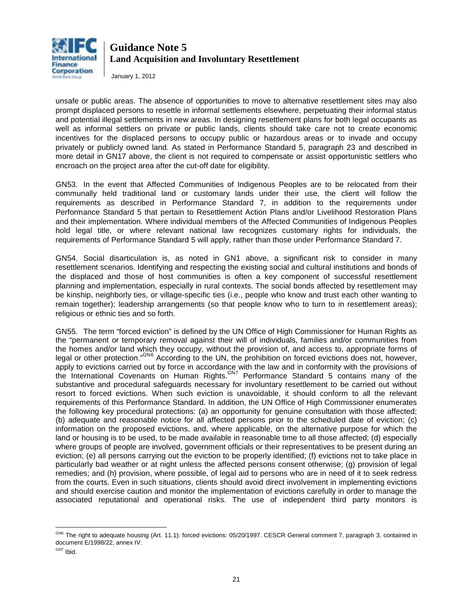

January 1, 2012

unsafe or public areas. The absence of opportunities to move to alternative resettlement sites may also prompt displaced persons to resettle in informal settlements elsewhere, perpetuating their informal status and potential illegal settlements in new areas. In designing resettlement plans for both legal occupants as well as informal settlers on private or public lands, clients should take care not to create economic incentives for the displaced persons to occupy public or hazardous areas or to invade and occupy privately or publicly owned land. As stated in Performance Standard 5, paragraph 23 and described in more detail in [GN17](#page-6-0) above, the client is not required to compensate or assist opportunistic settlers who encroach on the project area after the cut-off date for eligibility.

GN53. In the event that Affected Communities of Indigenous Peoples are to be relocated from their communally held traditional land or customary lands under their use, the client will follow the requirements as described in Performance Standard 7, in addition to the requirements under Performance Standard 5 that pertain to Resettlement Action Plans and/or Livelihood Restoration Plans and their implementation. Where individual members of the Affected Communities of Indigenous Peoples hold legal title, or where relevant national law recognizes customary rights for individuals, the requirements of Performance Standard 5 will apply, rather than those under Performance Standard 7.

GN54. Social disarticulation is, as noted in GN1 above, a significant risk to consider in many resettlement scenarios. Identifying and respecting the existing social and cultural institutions and bonds of the displaced and those of host communities is often a key component of successful resettlement planning and implementation, especially in rural contexts. The social bonds affected by resettlement may be kinship, neighborly ties, or village-specific ties (i.e., people who know and trust each other wanting to remain together); leadership arrangements (so that people know who to turn to in resettlement areas); religious or ethnic ties and so forth.

GN55. The term "forced eviction" is defined by the UN Office of High Commissioner for Human Rights as the "permanent or temporary removal against their will of individuals, families and/or communities from the homes and/or land which they occupy, without the provision of, and access to, appropriate forms of legal or other protection."<sup>GN[6](#page-15-0)</sup> According to the UN, the prohibition on forced evictions does not, however, apply to evictions carried out by force in accordance with the law and in conformity with the provisions of the International Covenants on Human Rights.<sup>GN[7](#page-20-0)</sup> Performance Standard 5 contains many of the substantive and procedural safeguards necessary for involuntary resettlement to be carried out without resort to forced evictions. When such eviction is unavoidable, it should conform to all the relevant requirements of this Performance Standard. In addition, the UN Office of High Commissioner enumerates the following key procedural protections: (a) an opportunity for genuine consultation with those affected; (b) adequate and reasonable notice for all affected persons prior to the scheduled date of eviction; (c) information on the proposed evictions, and, where applicable, on the alternative purpose for which the land or housing is to be used, to be made available in reasonable time to all those affected; (d) especially where groups of people are involved, government officials or their representatives to be present during an eviction; (e) all persons carrying out the eviction to be properly identified; (f) evictions not to take place in particularly bad weather or at night unless the affected persons consent otherwise; (g) provision of legal remedies; and (h) provision, where possible, of legal aid to persons who are in need of it to seek redress from the courts. Even in such situations, clients should avoid direct involvement in implementing evictions and should exercise caution and monitor the implementation of evictions carefully in order to manage the associated reputational and operational risks. The use of independent third party monitors is

 $\overline{a}$ <sup>GN6</sup> The right to adequate housing (Art. 11.1): forced evictions: 05/20/1997. CESCR General comment 7, paragraph 3, contained in document E/1998/22, annex IV.

<span id="page-20-0"></span>GN7 Ibid.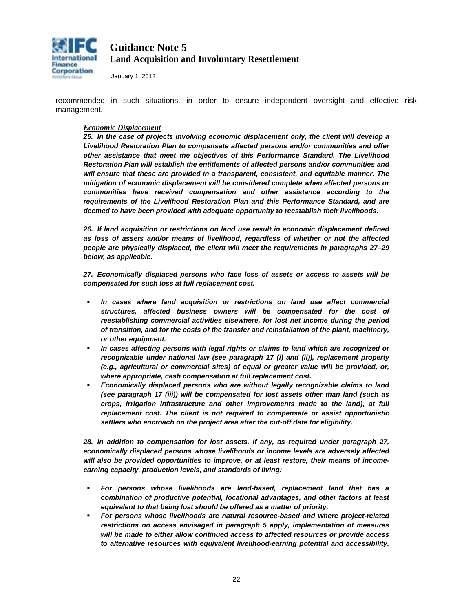

January 1, 2012

recommended in such situations, in order to ensure independent oversight and effective risk management.

#### *Economic Displacement*

*25. In the case of projects involving economic displacement only, the client will develop a Livelihood Restoration Plan to compensate affected persons and/or communities and offer other assistance that meet the objectives of this Performance Standard. The Livelihood Restoration Plan will establish the entitlements of affected persons and/or communities and will ensure that these are provided in a transparent, consistent, and equitable manner. The mitigation of economic displacement will be considered complete when affected persons or communities have received compensation and other assistance according to the requirements of the Livelihood Restoration Plan and this Performance Standard, and are deemed to have been provided with adequate opportunity to reestablish their livelihoods***.** 

*26. If land acquisition or restrictions on land use result in economic displacement defined as loss of assets and/or means of livelihood, regardless of whether or not the affected people are physically displaced, the client will meet the requirements in paragraphs 27–29 below, as applicable.*

*27. Economically displaced persons who face loss of assets or access to assets will be compensated for such loss at full replacement cost.* 

- *In cases where land acquisition or restrictions on land use affect commercial structures, affected business owners will be compensated for the cost of reestablishing commercial activities elsewhere, for lost net income during the period of transition, and for the costs of the transfer and reinstallation of the plant, machinery, or other equipment.*
- *In cases affecting persons with legal rights or claims to land which are recognized or recognizable under national law (see paragraph 17 (i) and (ii)), replacement property (e.g., agricultural or commercial sites) of equal or greater value will be provided, or, where appropriate, cash compensation at full replacement cost.*
- *Economically displaced persons who are without legally recognizable claims to land (see paragraph 17 (iii)) will be compensated for lost assets other than land (such as crops, irrigation infrastructure and other improvements made to the land), at full replacement cost. The client is not required to compensate or assist opportunistic settlers who encroach on the project area after the cut-off date for eligibility.*

*28. In addition to compensation for lost assets, if any, as required under paragraph 27, economically displaced persons whose livelihoods or income levels are adversely affected will also be provided opportunities to improve, or at least restore, their means of incomeearning capacity, production levels, and standards of living:* 

- *For persons whose livelihoods are land-based, replacement land that has a combination of productive potential, locational advantages, and other factors at least equivalent to that being lost should be offered as a matter of priority.*
- *For persons whose livelihoods are natural resource-based and where project-related restrictions on access envisaged in paragraph 5 apply, implementation of measures will be made to either allow continued access to affected resources or provide access to alternative resources with equivalent livelihood-earning potential and accessibility.*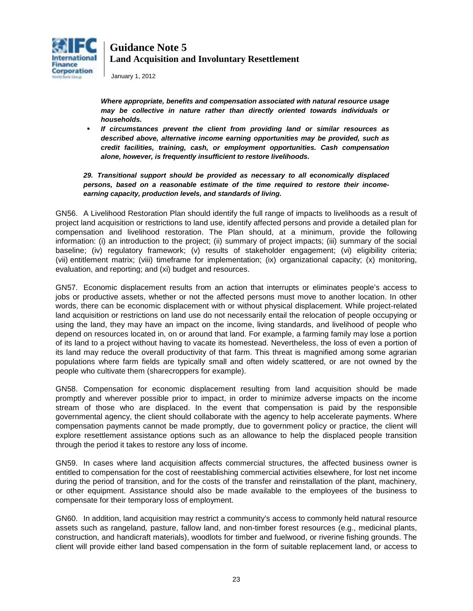

January 1, 2012

*Where appropriate, benefits and compensation associated with natural resource usage may be collective in nature rather than directly oriented towards individuals or households.* 

 *If circumstances prevent the client from providing land or similar resources as described above, alternative income earning opportunities may be provided, such as credit facilities, training, cash, or employment opportunities. Cash compensation alone, however, is frequently insufficient to restore livelihoods.* 

### *29. Transitional support should be provided as necessary to all economically displaced persons, based on a reasonable estimate of the time required to restore their incomeearning capacity, production levels, and standards of living.*

GN56. A Livelihood Restoration Plan should identify the full range of impacts to livelihoods as a result of project land acquisition or restrictions to land use, identify affected persons and provide a detailed plan for compensation and livelihood restoration. The Plan should, at a minimum, provide the following information: (i) an introduction to the project; (ii) summary of project impacts; (iii) summary of the social baseline; (iv) regulatory framework; (v) results of stakeholder engagement; (vi) eligibility criteria; (vii) entitlement matrix; (viii) timeframe for implementation; (ix) organizational capacity; (x) monitoring, evaluation, and reporting; and (xi) budget and resources.

GN57. Economic displacement results from an action that interrupts or eliminates people's access to jobs or productive assets, whether or not the affected persons must move to another location. In other words, there can be economic displacement with or without physical displacement. While project-related land acquisition or restrictions on land use do not necessarily entail the relocation of people occupying or using the land, they may have an impact on the income, living standards, and livelihood of people who depend on resources located in, on or around that land. For example, a farming family may lose a portion of its land to a project without having to vacate its homestead. Nevertheless, the loss of even a portion of its land may reduce the overall productivity of that farm. This threat is magnified among some agrarian populations where farm fields are typically small and often widely scattered, or are not owned by the people who cultivate them (sharecroppers for example).

GN58. Compensation for economic displacement resulting from land acquisition should be made promptly and wherever possible prior to impact, in order to minimize adverse impacts on the income stream of those who are displaced. In the event that compensation is paid by the responsible governmental agency, the client should collaborate with the agency to help accelerate payments. Where compensation payments cannot be made promptly, due to government policy or practice, the client will explore resettlement assistance options such as an allowance to help the displaced people transition through the period it takes to restore any loss of income.

GN59. In cases where land acquisition affects commercial structures, the affected business owner is entitled to compensation for the cost of reestablishing commercial activities elsewhere, for lost net income during the period of transition, and for the costs of the transfer and reinstallation of the plant, machinery, or other equipment. Assistance should also be made available to the employees of the business to compensate for their temporary loss of employment.

GN60. In addition, land acquisition may restrict a community's access to commonly held natural resource assets such as rangeland*,* pasture, fallow land, and non-timber forest resources (e.g., medicinal plants, construction, and handicraft materials), woodlots for timber and fuelwood, or riverine fishing grounds. The client will provide either land based compensation in the form of suitable replacement land, or access to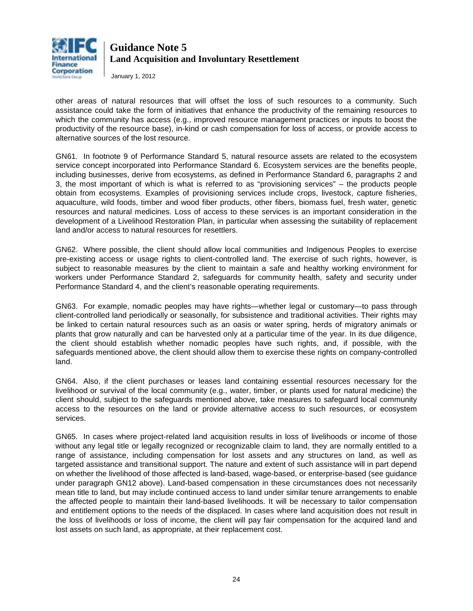

January 1, 2012

other areas of natural resources that will offset the loss of such resources to a community. Such assistance could take the form of initiatives that enhance the productivity of the remaining resources to which the community has access (e.g., improved resource management practices or inputs to boost the productivity of the resource base), in-kind or cash compensation for loss of access, or provide access to alternative sources of the lost resource.

GN61. In footnote 9 of Performance Standard 5, natural resource assets are related to the ecosystem service concept incorporated into Performance Standard 6. Ecosystem services are the benefits people, including businesses, derive from ecosystems, as defined in Performance Standard 6, paragraphs 2 and 3, the most important of which is what is referred to as "provisioning services" – the products people obtain from ecosystems. Examples of provisioning services include crops, livestock, capture fisheries, aquaculture, wild foods, timber and wood fiber products, other fibers, biomass fuel, fresh water, genetic resources and natural medicines. Loss of access to these services is an important consideration in the development of a Livelihood Restoration Plan, in particular when assessing the suitability of replacement land and/or access to natural resources for resettlers.

GN62. Where possible, the client should allow local communities and Indigenous Peoples to exercise pre-existing access or usage rights to client-controlled land. The exercise of such rights, however, is subject to reasonable measures by the client to maintain a safe and healthy working environment for workers under Performance Standard 2, safeguards for community health, safety and security under Performance Standard 4, and the client's reasonable operating requirements.

GN63. For example, nomadic peoples may have rights—whether legal or customary—to pass through client-controlled land periodically or seasonally, for subsistence and traditional activities. Their rights may be linked to certain natural resources such as an oasis or water spring, herds of migratory animals or plants that grow naturally and can be harvested only at a particular time of the year. In its due diligence, the client should establish whether nomadic peoples have such rights, and, if possible, with the safeguards mentioned above, the client should allow them to exercise these rights on company-controlled land.

GN64. Also, if the client purchases or leases land containing essential resources necessary for the livelihood or survival of the local community (e.g., water, timber, or plants used for natural medicine) the client should, subject to the safeguards mentioned above, take measures to safeguard local community access to the resources on the land or provide alternative access to such resources, or ecosystem services.

GN65. In cases where project-related land acquisition results in loss of livelihoods or income of those without any legal title or legally recognized or recognizable claim to land, they are normally entitled to a range of assistance, including compensation for lost assets and any structures on land, as well as targeted assistance and transitional support. The nature and extent of such assistance will in part depend on whether the livelihood of those affected is land-based, wage-based, or enterprise-based (see guidance under paragraph [GN12](#page-3-0) above). Land-based compensation in these circumstances does not necessarily mean title to land, but may include continued access to land under similar tenure arrangements to enable the affected people to maintain their land-based livelihoods. It will be necessary to tailor compensation and entitlement options to the needs of the displaced. In cases where land acquisition does not result in the loss of livelihoods or loss of income, the client will pay fair compensation for the acquired land and lost assets on such land, as appropriate, at their replacement cost.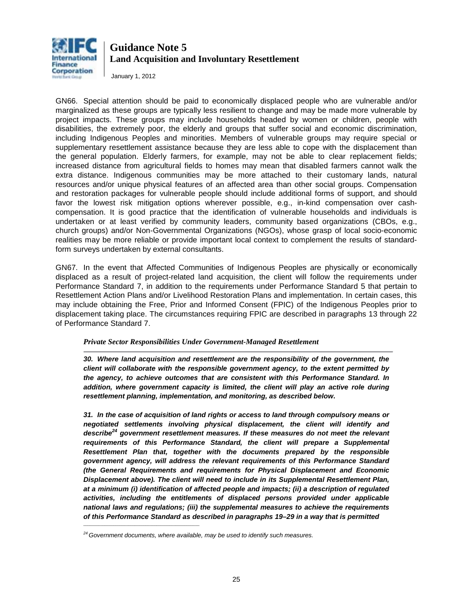

January 1, 2012

GN66. Special attention should be paid to economically displaced people who are vulnerable and/or marginalized as these groups are typically less resilient to change and may be made more vulnerable by project impacts. These groups may include households headed by women or children, people with disabilities, the extremely poor, the elderly and groups that suffer social and economic discrimination, including Indigenous Peoples and minorities. Members of vulnerable groups may require special or supplementary resettlement assistance because they are less able to cope with the displacement than the general population. Elderly farmers, for example, may not be able to clear replacement fields; increased distance from agricultural fields to homes may mean that disabled farmers cannot walk the extra distance. Indigenous communities may be more attached to their customary lands, natural resources and/or unique physical features of an affected area than other social groups. Compensation and restoration packages for vulnerable people should include additional forms of support, and should favor the lowest risk mitigation options wherever possible, e.g., in-kind compensation over cashcompensation. It is good practice that the identification of vulnerable households and individuals is undertaken or at least verified by community leaders, community based organizations (CBOs, e.g., church groups) and/or Non-Governmental Organizations (NGOs), whose grasp of local socio-economic realities may be more reliable or provide important local context to complement the results of standardform surveys undertaken by external consultants.

GN67. In the event that Affected Communities of Indigenous Peoples are physically or economically displaced as a result of project-related land acquisition, the client will follow the requirements under Performance Standard 7, in addition to the requirements under Performance Standard 5 that pertain to Resettlement Action Plans and/or Livelihood Restoration Plans and implementation. In certain cases, this may include obtaining the Free, Prior and Informed Consent (FPIC) of the Indigenous Peoples prior to displacement taking place. The circumstances requiring FPIC are described in paragraphs 13 through 22 of Performance Standard 7.

#### *Private Sector Responsibilities Under Government-Managed Resettlement*

*30. Where land acquisition and resettlement are the responsibility of the government, the client will collaborate with the responsible government agency, to the extent permitted by the agency, to achieve outcomes that are consistent with this Performance Standard. In*  addition, where government capacity is limited, the client will play an active role during *resettlement planning, implementation, and monitoring, as described below***.**

*31. In the case of acquisition of land rights or access to land through compulsory means or negotiated settlements involving physical displacement, the client will identify and describe24 government resettlement measures. If these measures do not meet the relevant*  requirements of this Performance Standard, the client will prepare a Supplemental *Resettlement Plan that, together with the documents prepared by the responsible government agency, will address the relevant requirements of this Performance Standard (the General Requirements and requirements for Physical Displacement and Economic Displacement above). The client will need to include in its Supplemental Resettlement Plan, at a minimum (i) identification of affected people and impacts; (ii) a description of regulated activities, including the entitlements of displaced persons provided under applicable national laws and regulations; (iii) the supplemental measures to achieve the requirements of this Performance Standard as described in paragraphs 19–29 in a way that is permitted* 

 $\mathcal{L}_\text{max}$  and  $\mathcal{L}_\text{max}$  and  $\mathcal{L}_\text{max}$  are the set of the set of the set of the set of the set of the set of the set of the set of the set of the set of the set of the set of the set of the set of the set of th

*<sup>24</sup> Government documents, where available, may be used to identify such measures.*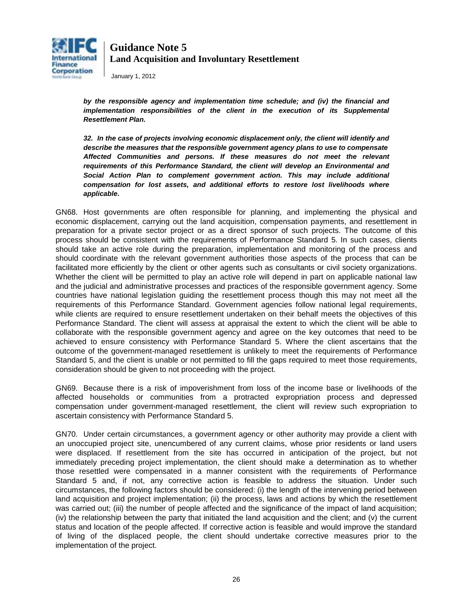

January 1, 2012

*by the responsible agency and implementation time schedule; and (iv) the financial and implementation responsibilities of the client in the execution of its Supplemental Resettlement Plan.* 

*32. In the case of projects involving economic displacement only, the client will identify and describe the measures that the responsible government agency plans to use to compensate Affected Communities and persons. If these measures do not meet the relevant requirements of this Performance Standard, the client will develop an Environmental and Social Action Plan to complement government action. This may include additional compensation for lost assets, and additional efforts to restore lost livelihoods where applicable***.**

<span id="page-25-0"></span>GN68. Host governments are often responsible for planning, and implementing the physical and economic displacement, carrying out the land acquisition, compensation payments, and resettlement in preparation for a private sector project or as a direct sponsor of such projects. The outcome of this process should be consistent with the requirements of Performance Standard 5. In such cases, clients should take an active role during the preparation, implementation and monitoring of the process and should coordinate with the relevant government authorities those aspects of the process that can be facilitated more efficiently by the client or other agents such as consultants or civil society organizations. Whether the client will be permitted to play an active role will depend in part on applicable national law and the judicial and administrative processes and practices of the responsible government agency. Some countries have national legislation guiding the resettlement process though this may not meet all the requirements of this Performance Standard. Government agencies follow national legal requirements, while clients are required to ensure resettlement undertaken on their behalf meets the objectives of this Performance Standard. The client will assess at appraisal the extent to which the client will be able to collaborate with the responsible government agency and agree on the key outcomes that need to be achieved to ensure consistency with Performance Standard 5. Where the client ascertains that the outcome of the government-managed resettlement is unlikely to meet the requirements of Performance Standard 5, and the client is unable or not permitted to fill the gaps required to meet those requirements, consideration should be given to not proceeding with the project.

GN69. Because there is a risk of impoverishment from loss of the income base or livelihoods of the affected households or communities from a protracted expropriation process and depressed compensation under government-managed resettlement, the client will review such expropriation to ascertain consistency with Performance Standard 5.

GN70. Under certain circumstances, a government agency or other authority may provide a client with an unoccupied project site, unencumbered of any current claims, whose prior residents or land users were displaced. If resettlement from the site has occurred in anticipation of the project, but not immediately preceding project implementation, the client should make a determination as to whether those resettled were compensated in a manner consistent with the requirements of Performance Standard 5 and, if not, any corrective action is feasible to address the situation. Under such circumstances, the following factors should be considered: (i) the length of the intervening period between land acquisition and project implementation; (ii) the process, laws and actions by which the resettlement was carried out; (iii) the number of people affected and the significance of the impact of land acquisition; (iv) the relationship between the party that initiated the land acquisition and the client; and (v) the current status and location of the people affected. If corrective action is feasible and would improve the standard of living of the displaced people, the client should undertake corrective measures prior to the implementation of the project.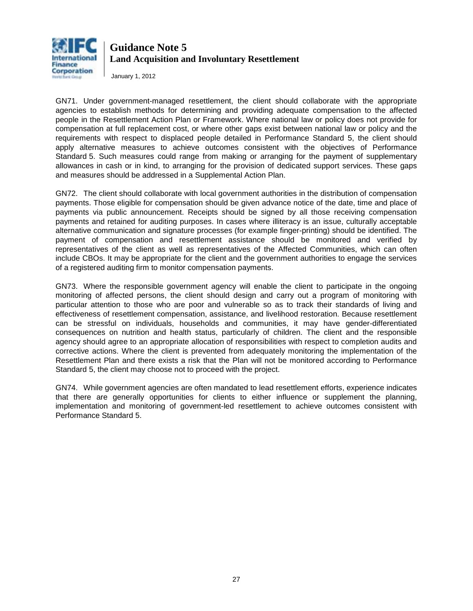

January 1, 2012

GN71. Under government-managed resettlement, the client should collaborate with the appropriate agencies to establish methods for determining and providing adequate compensation to the affected people in the Resettlement Action Plan or Framework. Where national law or policy does not provide for compensation at full replacement cost, or where other gaps exist between national law or policy and the requirements with respect to displaced people detailed in Performance Standard 5, the client should apply alternative measures to achieve outcomes consistent with the objectives of Performance Standard 5. Such measures could range from making or arranging for the payment of supplementary allowances in cash or in kind, to arranging for the provision of dedicated support services. These gaps and measures should be addressed in a Supplemental Action Plan.

GN72. The client should collaborate with local government authorities in the distribution of compensation payments. Those eligible for compensation should be given advance notice of the date, time and place of payments via public announcement. Receipts should be signed by all those receiving compensation payments and retained for auditing purposes. In cases where illiteracy is an issue, culturally acceptable alternative communication and signature processes (for example finger-printing) should be identified. The payment of compensation and resettlement assistance should be monitored and verified by representatives of the client as well as representatives of the Affected Communities, which can often include CBOs. It may be appropriate for the client and the government authorities to engage the services of a registered auditing firm to monitor compensation payments.

GN73. Where the responsible government agency will enable the client to participate in the ongoing monitoring of affected persons, the client should design and carry out a program of monitoring with particular attention to those who are poor and vulnerable so as to track their standards of living and effectiveness of resettlement compensation, assistance, and livelihood restoration. Because resettlement can be stressful on individuals, households and communities, it may have gender-differentiated consequences on nutrition and health status, particularly of children. The client and the responsible agency should agree to an appropriate allocation of responsibilities with respect to completion audits and corrective actions. Where the client is prevented from adequately monitoring the implementation of the Resettlement Plan and there exists a risk that the Plan will not be monitored according to Performance Standard 5, the client may choose not to proceed with the project.

<span id="page-26-0"></span>GN74. While government agencies are often mandated to lead resettlement efforts, experience indicates that there are generally opportunities for clients to either influence or supplement the planning, implementation and monitoring of government-led resettlement to achieve outcomes consistent with Performance Standard 5.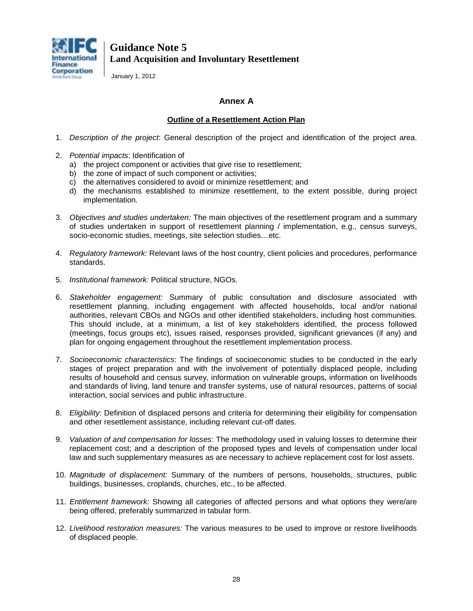

January 1, 2012

### **Annex A**

### **Outline of a Resettlement Action Plan**

- 1. *Description of the project*: General description of the project and identification of the project area.
- 2. *Potential impacts*: Identification of
	- a) the project component or activities that give rise to resettlement;
	- b) the zone of impact of such component or activities;
	- c) the alternatives considered to avoid or minimize resettlement; and
	- d) the mechanisms established to minimize resettlement, to the extent possible, during project implementation.
- 3. *Objectives and studies undertaken:* The main objectives of the resettlement program and a summary of studies undertaken in support of resettlement planning / implementation, e.g., census surveys, socio-economic studies, meetings, site selection studies…etc.
- 4. *Regulatory framework:* Relevant laws of the host country, client policies and procedures, performance standards.
- 5. *Institutional framework:* Political structure, NGOs.
- 6. *Stakeholder engagement:* Summary of public consultation and disclosure associated with resettlement planning, including engagement with affected households, local and/or national authorities, relevant CBOs and NGOs and other identified stakeholders, including host communities. This should include, at a minimum, a list of key stakeholders identified, the process followed (meetings, focus groups etc), issues raised, responses provided, significant grievances (if any) and plan for ongoing engagement throughout the resettlement implementation process.
- 7. *Socioeconomic characteristics*: The findings of socioeconomic studies to be conducted in the early stages of project preparation and with the involvement of potentially displaced people, including results of household and census survey, information on vulnerable groups, information on livelihoods and standards of living, land tenure and transfer systems, use of natural resources, patterns of social interaction, social services and public infrastructure.
- 8. *Eligibility*: Definition of displaced persons and criteria for determining their eligibility for compensation and other resettlement assistance, including relevant cut-off dates.
- 9. *Valuation of and compensation for losses*: The methodology used in valuing losses to determine their replacement cost; and a description of the proposed types and levels of compensation under local law and such supplementary measures as are necessary to achieve replacement cost for lost assets.
- 10. *Magnitude of displacement:* Summary of the numbers of persons, households, structures, public buildings, businesses, croplands, churches, etc., to be affected.
- 11. *Entitlement framework:* Showing all categories of affected persons and what options they were/are being offered, preferably summarized in tabular form.
- 12. *Livelihood restoration measures:* The various measures to be used to improve or restore livelihoods of displaced people.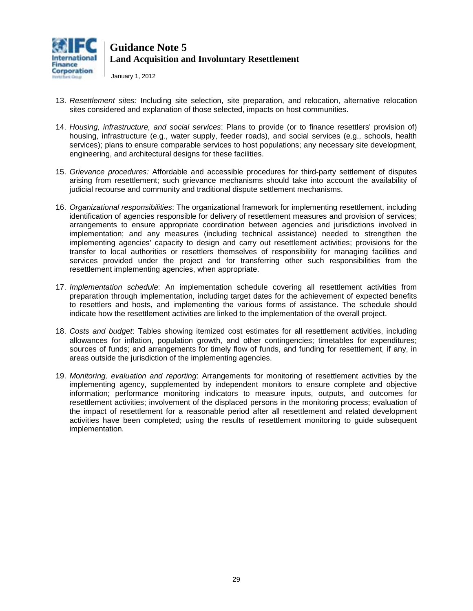

January 1, 2012

- 13. *Resettlement sites:* Including site selection, site preparation, and relocation, alternative relocation sites considered and explanation of those selected, impacts on host communities.
- 14. *Housing, infrastructure, and social services*: Plans to provide (or to finance resettlers' provision of) housing, infrastructure (e.g., water supply, feeder roads), and social services (e.g., schools, health services); plans to ensure comparable services to host populations; any necessary site development, engineering, and architectural designs for these facilities.
- 15. *Grievance procedures:* Affordable and accessible procedures for third-party settlement of disputes arising from resettlement; such grievance mechanisms should take into account the availability of judicial recourse and community and traditional dispute settlement mechanisms.
- 16. *Organizational responsibilities*: The organizational framework for implementing resettlement, including identification of agencies responsible for delivery of resettlement measures and provision of services; arrangements to ensure appropriate coordination between agencies and jurisdictions involved in implementation; and any measures (including technical assistance) needed to strengthen the implementing agencies' capacity to design and carry out resettlement activities; provisions for the transfer to local authorities or resettlers themselves of responsibility for managing facilities and services provided under the project and for transferring other such responsibilities from the resettlement implementing agencies, when appropriate.
- 17. *Implementation schedule*: An implementation schedule covering all resettlement activities from preparation through implementation, including target dates for the achievement of expected benefits to resettlers and hosts, and implementing the various forms of assistance. The schedule should indicate how the resettlement activities are linked to the implementation of the overall project.
- 18. *Costs and budget*: Tables showing itemized cost estimates for all resettlement activities, including allowances for inflation, population growth, and other contingencies; timetables for expenditures; sources of funds; and arrangements for timely flow of funds, and funding for resettlement, if any, in areas outside the jurisdiction of the implementing agencies.
- 19. *Monitoring, evaluation and reporting*: Arrangements for monitoring of resettlement activities by the implementing agency, supplemented by independent monitors to ensure complete and objective information; performance monitoring indicators to measure inputs, outputs, and outcomes for resettlement activities; involvement of the displaced persons in the monitoring process; evaluation of the impact of resettlement for a reasonable period after all resettlement and related development activities have been completed; using the results of resettlement monitoring to guide subsequent implementation.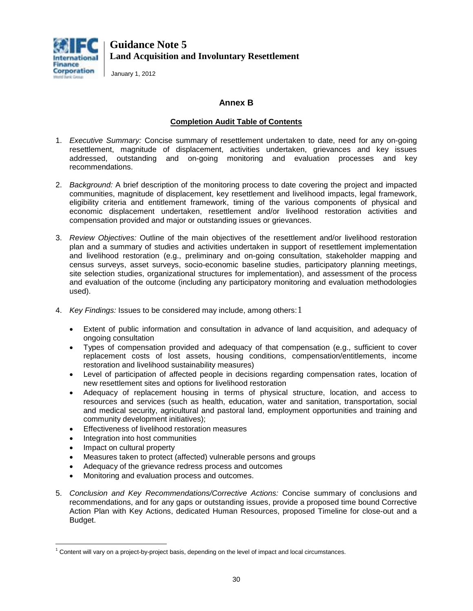

January 1, 2012

### **Annex B**

### **Completion Audit Table of Contents**

- 1. *Executive Summary:* Concise summary of resettlement undertaken to date, need for any on-going resettlement, magnitude of displacement, activities undertaken, grievances and key issues addressed, outstanding and on-going monitoring and evaluation processes and key recommendations.
- 2. *Background:* A brief description of the monitoring process to date covering the project and impacted communities, magnitude of displacement, key resettlement and livelihood impacts, legal framework, eligibility criteria and entitlement framework, timing of the various components of physical and economic displacement undertaken, resettlement and/or livelihood restoration activities and compensation provided and major or outstanding issues or grievances.
- 3. *Review Objectives:* Outline of the main objectives of the resettlement and/or livelihood restoration plan and a summary of studies and activities undertaken in support of resettlement implementation and livelihood restoration (e.g., preliminary and on-going consultation, stakeholder mapping and census surveys, asset surveys, socio-economic baseline studies, participatory planning meetings, site selection studies, organizational structures for implementation), and assessment of the process and evaluation of the outcome (including any participatory monitoring and evaluation methodologies used).
- 4. *Key Findings:* Issues to be considered may include, among others:[1](#page-20-0)
	- Extent of public information and consultation in advance of land acquisition, and adequacy of ongoing consultation
	- Types of compensation provided and adequacy of that compensation (e.g., sufficient to cover replacement costs of lost assets, housing conditions, compensation/entitlements, income restoration and livelihood sustainability measures)
	- Level of participation of affected people in decisions regarding compensation rates, location of new resettlement sites and options for livelihood restoration
	- Adequacy of replacement housing in terms of physical structure, location, and access to resources and services (such as health, education, water and sanitation, transportation, social and medical security, agricultural and pastoral land, employment opportunities and training and community development initiatives);
	- Effectiveness of livelihood restoration measures
	- Integration into host communities
	- Impact on cultural property
	- Measures taken to protect (affected) vulnerable persons and groups
	- Adequacy of the grievance redress process and outcomes
	- Monitoring and evaluation process and outcomes.
- 5. *Conclusion and Key Recommendations/Corrective Actions:* Concise summary of conclusions and recommendations, and for any gaps or outstanding issues, provide a proposed time bound Corrective Action Plan with Key Actions, dedicated Human Resources, proposed Timeline for close-out and a Budget.

 $\overline{a}$  $1$  Content will vary on a project-by-project basis, depending on the level of impact and local circumstances.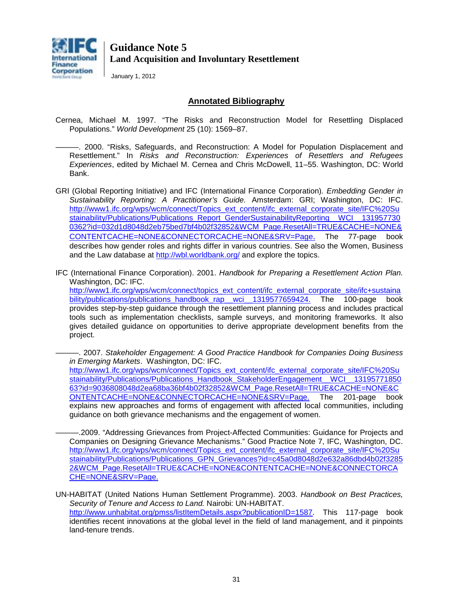

January 1, 2012

### **Annotated Bibliography**

- Cernea, Michael M. 1997. "The Risks and Reconstruction Model for Resettling Displaced Populations." *World Development* 25 (10): 1569–87.
	- ———. 2000. "Risks, Safeguards, and Reconstruction: A Model for Population Displacement and Resettlement." In *Risks and Reconstruction: Experiences of Resettlers and Refugees Experiences*, edited by Michael M. Cernea and Chris McDowell, 11–55. Washington, DC: World Bank.
- GRI (Global Reporting Initiative) and IFC (International Finance Corporation)*. Embedding Gender in Sustainability Reporting: A Practitioner's Guide.* Amsterdam: GRI; Washington, DC: IFC. [http://www1.ifc.org/wps/wcm/connect/Topics\\_ext\\_content/ifc\\_external\\_corporate\\_site/IFC%20Su](http://www1.ifc.org/wps/wcm/connect/Topics_ext_content/ifc_external_corporate_site/IFC%20Sustainability/Publications/Publications_Report_GenderSustainabilityReporting__WCI__1319577300362?id=032d1d8048d2eb75bed7bf4b02f32852&WCM_Page.ResetAll=TRUE&CACHE=NONE&CONTENTCACHE=NONE&CONNECTORCACHE=NONE&SRV=Page) [stainability/Publications/Publications\\_Report\\_GenderSustainabilityReporting\\_\\_WCI\\_\\_131957730](http://www1.ifc.org/wps/wcm/connect/Topics_ext_content/ifc_external_corporate_site/IFC%20Sustainability/Publications/Publications_Report_GenderSustainabilityReporting__WCI__1319577300362?id=032d1d8048d2eb75bed7bf4b02f32852&WCM_Page.ResetAll=TRUE&CACHE=NONE&CONTENTCACHE=NONE&CONNECTORCACHE=NONE&SRV=Page) [0362?id=032d1d8048d2eb75bed7bf4b02f32852&WCM\\_Page.ResetAll=TRUE&CACHE=NONE&](http://www1.ifc.org/wps/wcm/connect/Topics_ext_content/ifc_external_corporate_site/IFC%20Sustainability/Publications/Publications_Report_GenderSustainabilityReporting__WCI__1319577300362?id=032d1d8048d2eb75bed7bf4b02f32852&WCM_Page.ResetAll=TRUE&CACHE=NONE&CONTENTCACHE=NONE&CONNECTORCACHE=NONE&SRV=Page) [CONTENTCACHE=NONE&CONNECTORCACHE=NONE&SRV=Page](http://www1.ifc.org/wps/wcm/connect/Topics_ext_content/ifc_external_corporate_site/IFC%20Sustainability/Publications/Publications_Report_GenderSustainabilityReporting__WCI__1319577300362?id=032d1d8048d2eb75bed7bf4b02f32852&WCM_Page.ResetAll=TRUE&CACHE=NONE&CONTENTCACHE=NONE&CONNECTORCACHE=NONE&SRV=Page). The 77-page book describes how gender roles and rights differ in various countries. See also the Women, Business and the Law database at<http://wbl.worldbank.org/> and explore the topics.
- IFC (International Finance Corporation). 2001. *Handbook for Preparing a Resettlement Action Plan.* Washington, DC: IFC.

[http://www1.ifc.org/wps/wcm/connect/topics\\_ext\\_content/ifc\\_external\\_corporate\\_site/ifc+sustaina](http://www1.ifc.org/wps/wcm/connect/topics_ext_content/ifc_external_corporate_site/ifc+sustainability/publications/publications_handbook_rap__wci__1319577659424) [bility/publications/publications\\_handbook\\_rap\\_\\_wci\\_\\_1319577659424.](http://www1.ifc.org/wps/wcm/connect/topics_ext_content/ifc_external_corporate_site/ifc+sustainability/publications/publications_handbook_rap__wci__1319577659424) The 100-page book provides step-by-step guidance through the resettlement planning process and includes practical tools such as implementation checklists, sample surveys, and monitoring frameworks. It also gives detailed guidance on opportunities to derive appropriate development benefits from the project.

———. 2007. *Stakeholder Engagement: A Good Practice Handbook for Companies Doing Business in Emerging Markets*. Washington, DC: IFC. [http://www1.ifc.org/wps/wcm/connect/Topics\\_ext\\_content/ifc\\_external\\_corporate\\_site/IFC%20Su](http://www1.ifc.org/wps/wcm/connect/Topics_ext_content/ifc_external_corporate_site/IFC%20Sustainability/Publications/Publications_Handbook_StakeholderEngagement__WCI__1319577185063?id=9036808048d2ea68ba36bf4b02f32852&WCM_Page.ResetAll=TRUE&CACHE=NONE&CONTENTCACHE=NONE&CONNECTORCACHE=NONE&SRV=Page) [stainability/Publications/Publications\\_Handbook\\_StakeholderEngagement\\_\\_WCI\\_\\_13195771850](http://www1.ifc.org/wps/wcm/connect/Topics_ext_content/ifc_external_corporate_site/IFC%20Sustainability/Publications/Publications_Handbook_StakeholderEngagement__WCI__1319577185063?id=9036808048d2ea68ba36bf4b02f32852&WCM_Page.ResetAll=TRUE&CACHE=NONE&CONTENTCACHE=NONE&CONNECTORCACHE=NONE&SRV=Page) [63?id=9036808048d2ea68ba36bf4b02f32852&WCM\\_Page.ResetAll=TRUE&CACHE=NONE&C](http://www1.ifc.org/wps/wcm/connect/Topics_ext_content/ifc_external_corporate_site/IFC%20Sustainability/Publications/Publications_Handbook_StakeholderEngagement__WCI__1319577185063?id=9036808048d2ea68ba36bf4b02f32852&WCM_Page.ResetAll=TRUE&CACHE=NONE&CONTENTCACHE=NONE&CONNECTORCACHE=NONE&SRV=Page) [ONTENTCACHE=NONE&CONNECTORCACHE=NONE&SRV=Page.](http://www1.ifc.org/wps/wcm/connect/Topics_ext_content/ifc_external_corporate_site/IFC%20Sustainability/Publications/Publications_Handbook_StakeholderEngagement__WCI__1319577185063?id=9036808048d2ea68ba36bf4b02f32852&WCM_Page.ResetAll=TRUE&CACHE=NONE&CONTENTCACHE=NONE&CONNECTORCACHE=NONE&SRV=Page) The 201-page book explains new approaches and forms of engagement with affected local communities, including guidance on both grievance mechanisms and the engagement of women.

———.2009. "Addressing Grievances from Project-Affected Communities: Guidance for Projects and Companies on Designing Grievance Mechanisms." Good Practice Note 7, IFC, Washington, DC. [http://www1.ifc.org/wps/wcm/connect/Topics\\_ext\\_content/ifc\\_external\\_corporate\\_site/IFC%20Su](http://www1.ifc.org/wps/wcm/connect/Topics_ext_content/ifc_external_corporate_site/IFC%20Sustainability/Publications/Publications_GPN_Grievances?id=c45a0d8048d2e632a86dbd4b02f32852&WCM_Page.ResetAll=TRUE&CACHE=NONE&CONTENTCACHE=NONE&CONNECTORCACHE=NONE&SRV=Page) [stainability/Publications/Publications\\_GPN\\_Grievances?id=c45a0d8048d2e632a86dbd4b02f3285](http://www1.ifc.org/wps/wcm/connect/Topics_ext_content/ifc_external_corporate_site/IFC%20Sustainability/Publications/Publications_GPN_Grievances?id=c45a0d8048d2e632a86dbd4b02f32852&WCM_Page.ResetAll=TRUE&CACHE=NONE&CONTENTCACHE=NONE&CONNECTORCACHE=NONE&SRV=Page) [2&WCM\\_Page.ResetAll=TRUE&CACHE=NONE&CONTENTCACHE=NONE&CONNECTORCA](http://www1.ifc.org/wps/wcm/connect/Topics_ext_content/ifc_external_corporate_site/IFC%20Sustainability/Publications/Publications_GPN_Grievances?id=c45a0d8048d2e632a86dbd4b02f32852&WCM_Page.ResetAll=TRUE&CACHE=NONE&CONTENTCACHE=NONE&CONNECTORCACHE=NONE&SRV=Page) [CHE=NONE&SRV=Page.](http://www1.ifc.org/wps/wcm/connect/Topics_ext_content/ifc_external_corporate_site/IFC%20Sustainability/Publications/Publications_GPN_Grievances?id=c45a0d8048d2e632a86dbd4b02f32852&WCM_Page.ResetAll=TRUE&CACHE=NONE&CONTENTCACHE=NONE&CONNECTORCACHE=NONE&SRV=Page)

UN-HABITAT (United Nations Human Settlement Programme). 2003. *Handbook on Best Practices, Security of Tenure and Access to Land.* Nairobi: UN-HABITAT. [http://www.unhabitat.org/pmss/listItemDetails.aspx?publicationID=1587.](http://www.unhabitat.org/pmss/listItemDetails.aspx?publicationID=1587) This 117-page book identifies recent innovations at the global level in the field of land management, and it pinpoints land-tenure trends.